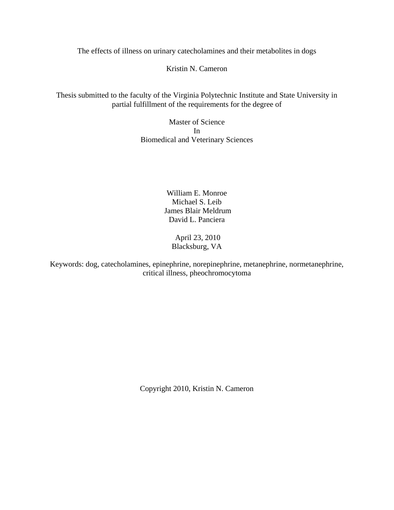The effects of illness on urinary catecholamines and their metabolites in dogs

Kristin N. Cameron

Thesis submitted to the faculty of the Virginia Polytechnic Institute and State University in partial fulfillment of the requirements for the degree of

> Master of Science In Biomedical and Veterinary Sciences

> > William E. Monroe Michael S. Leib James Blair Meldrum David L. Panciera

> > > April 23, 2010 Blacksburg, VA

Keywords: dog, catecholamines, epinephrine, norepinephrine, metanephrine, normetanephrine, critical illness, pheochromocytoma

Copyright 2010, Kristin N. Cameron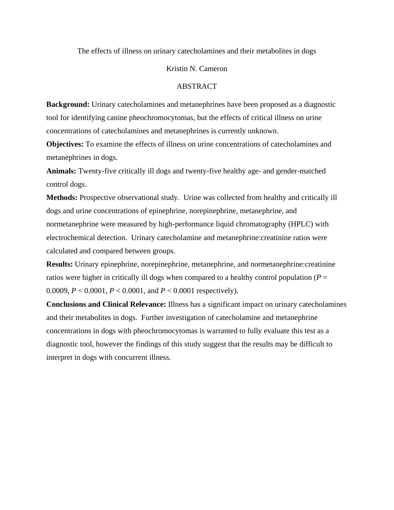The effects of illness on urinary catecholamines and their metabolites in dogs

## Kristin N. Cameron

## ABSTRACT

**Background:** Urinary catecholamines and metanephrines have been proposed as a diagnostic tool for identifying canine pheochromocytomas, but the effects of critical illness on urine concentrations of catecholamines and metanephrines is currently unknown.

**Objectives:** To examine the effects of illness on urine concentrations of catecholamines and metanephrines in dogs.

**Animals:** Twenty-five critically ill dogs and twenty-five healthy age- and gender-matched control dogs.

**Methods:** Prospective observational study. Urine was collected from healthy and critically ill dogs and urine concentrations of epinephrine, norepinephrine, metanephrine, and normetanephrine were measured by high-performance liquid chromatography (HPLC) with electrochemical detection. Urinary catecholamine and metanephrine:creatinine ratios were calculated and compared between groups.

**Results:** Urinary epinephrine, norepinephrine, metanephrine, and normetanephrine:creatinine ratios were higher in critically ill dogs when compared to a healthy control population ( $P =$ 0.0009, *P* < 0.0001, *P* < 0.0001, and *P* < 0.0001 respectively).

**Conclusions and Clinical Relevance:** Illness has a significant impact on urinary catecholamines and their metabolites in dogs. Further investigation of catecholamine and metanephrine concentrations in dogs with pheochromocytomas is warranted to fully evaluate this test as a diagnostic tool, however the findings of this study suggest that the results may be difficult to interpret in dogs with concurrent illness.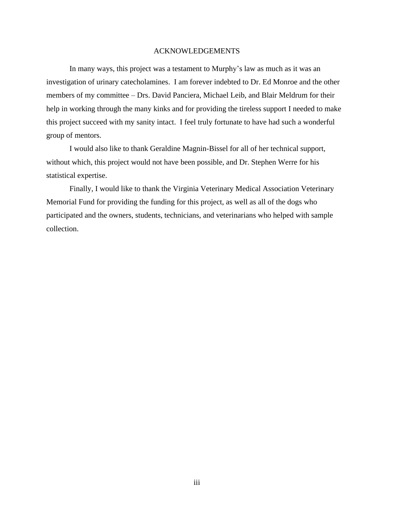#### ACKNOWLEDGEMENTS

In many ways, this project was a testament to Murphy's law as much as it was an investigation of urinary catecholamines. I am forever indebted to Dr. Ed Monroe and the other members of my committee – Drs. David Panciera, Michael Leib, and Blair Meldrum for their help in working through the many kinks and for providing the tireless support I needed to make this project succeed with my sanity intact. I feel truly fortunate to have had such a wonderful group of mentors.

I would also like to thank Geraldine Magnin-Bissel for all of her technical support, without which, this project would not have been possible, and Dr. Stephen Werre for his statistical expertise.

Finally, I would like to thank the Virginia Veterinary Medical Association Veterinary Memorial Fund for providing the funding for this project, as well as all of the dogs who participated and the owners, students, technicians, and veterinarians who helped with sample collection.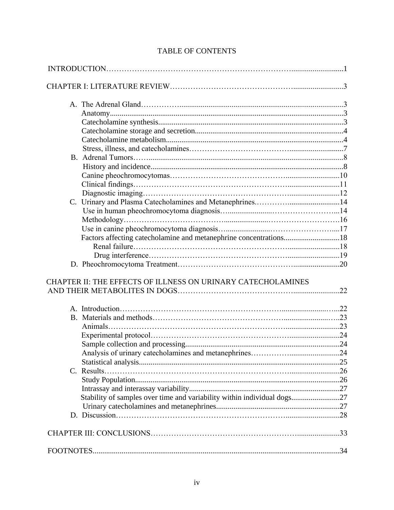| Factors affecting catecholamine and metanephrine concentrations18       |  |
|-------------------------------------------------------------------------|--|
|                                                                         |  |
|                                                                         |  |
|                                                                         |  |
| CHAPTER II: THE EFFECTS OF ILLNESS ON URINARY CATECHOLAMINES            |  |
|                                                                         |  |
|                                                                         |  |
|                                                                         |  |
|                                                                         |  |
|                                                                         |  |
|                                                                         |  |
|                                                                         |  |
|                                                                         |  |
|                                                                         |  |
|                                                                         |  |
| Stability of samples over time and variability within individual dogs27 |  |
|                                                                         |  |
|                                                                         |  |
|                                                                         |  |
|                                                                         |  |
|                                                                         |  |

# TABLE OF CONTENTS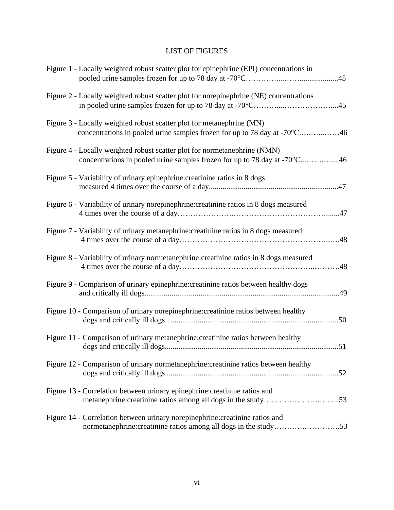# LIST OF FIGURES

| Figure 1 - Locally weighted robust scatter plot for epinephrine (EPI) concentrations in                                                                |  |
|--------------------------------------------------------------------------------------------------------------------------------------------------------|--|
| Figure 2 - Locally weighted robust scatter plot for norepinephrine (NE) concentrations                                                                 |  |
| Figure 3 - Locally weighted robust scatter plot for metanephrine (MN)<br>concentrations in pooled urine samples frozen for up to 78 day at -70°C46     |  |
| Figure 4 - Locally weighted robust scatter plot for normetanephrine (NMN)<br>concentrations in pooled urine samples frozen for up to 78 day at -70°C46 |  |
| Figure 5 - Variability of urinary epinephrine: creatinine ratios in 8 dogs                                                                             |  |
| Figure 6 - Variability of urinary norepinephrine: creatinine ratios in 8 dogs measured                                                                 |  |
| Figure 7 - Variability of urinary metanephrine: creatinine ratios in 8 dogs measured                                                                   |  |
| Figure 8 - Variability of urinary normetanephrine: creatinine ratios in 8 dogs measured                                                                |  |
| Figure 9 - Comparison of urinary epinephrine: creatinine ratios between healthy dogs                                                                   |  |
| Figure 10 - Comparison of urinary norepinephrine: creatinine ratios between healthy                                                                    |  |
| Figure 11 - Comparison of urinary metanephrine: creatinine ratios between healthy                                                                      |  |
| Figure 12 - Comparison of urinary normetanephrine: creatinine ratios between healthy                                                                   |  |
| Figure 13 - Correlation between urinary epinephrine: creatinine ratios and                                                                             |  |
| Figure 14 - Correlation between urinary norepinephrine: creatinine ratios and<br>normetanephrine: creatinine ratios among all dogs in the study53      |  |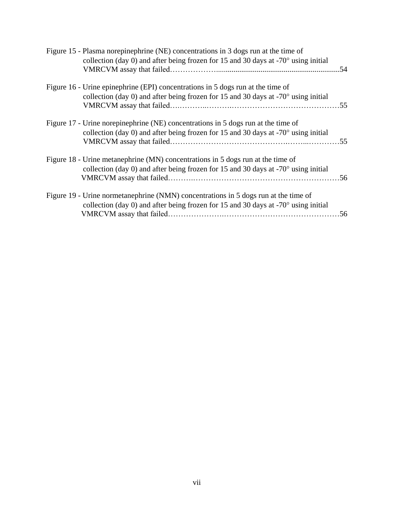| Figure 15 - Plasma norepinephrine (NE) concentrations in 3 dogs run at the time of<br>collection (day 0) and after being frozen for 15 and 30 days at $-70^{\circ}$ using initial |  |
|-----------------------------------------------------------------------------------------------------------------------------------------------------------------------------------|--|
| Figure 16 - Urine epinephrine (EPI) concentrations in 5 dogs run at the time of<br>collection (day 0) and after being frozen for 15 and 30 days at $-70^{\circ}$ using initial    |  |
|                                                                                                                                                                                   |  |
| Figure 17 - Urine norepine phrine (NE) concentrations in 5 dogs run at the time of<br>collection (day 0) and after being frozen for 15 and 30 days at $-70^{\circ}$ using initial |  |
|                                                                                                                                                                                   |  |
| Figure 18 - Urine metanephrine (MN) concentrations in 5 dogs run at the time of                                                                                                   |  |
| collection (day 0) and after being frozen for 15 and 30 days at $-70^{\circ}$ using initial                                                                                       |  |
| Figure 19 - Urine normetanephrine (NMN) concentrations in 5 dogs run at the time of                                                                                               |  |
| collection (day 0) and after being frozen for 15 and 30 days at $-70^{\circ}$ using initial                                                                                       |  |
|                                                                                                                                                                                   |  |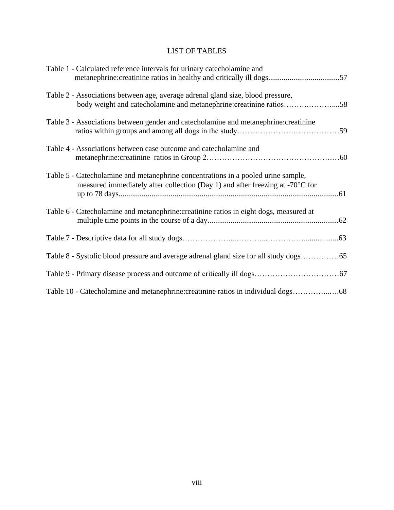# LIST OF TABLES

| Table 1 - Calculated reference intervals for urinary catecholamine and                                                                                             |  |
|--------------------------------------------------------------------------------------------------------------------------------------------------------------------|--|
| Table 2 - Associations between age, average adrenal gland size, blood pressure,<br>body weight and catecholamine and metanephrine: creatinine ratios58             |  |
| Table 3 - Associations between gender and catecholamine and metanephrine: creatinine                                                                               |  |
| Table 4 - Associations between case outcome and cate cholamine and                                                                                                 |  |
| Table 5 - Catecholamine and metanephrine concentrations in a pooled urine sample,<br>measured immediately after collection (Day 1) and after freezing at -70°C for |  |
| Table 6 - Catecholamine and metanephrine: creatinine ratios in eight dogs, measured at                                                                             |  |
|                                                                                                                                                                    |  |
| Table 8 - Systolic blood pressure and average adrenal gland size for all study dogs                                                                                |  |
|                                                                                                                                                                    |  |
|                                                                                                                                                                    |  |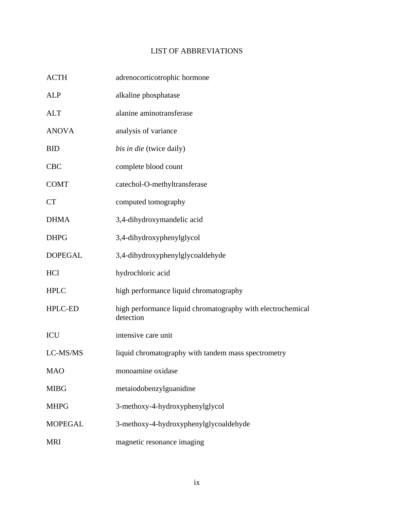# LIST OF ABBREVIATIONS

| <b>ACTH</b>    | adrenocorticotrophic hormone                                             |
|----------------|--------------------------------------------------------------------------|
| <b>ALP</b>     | alkaline phosphatase                                                     |
| <b>ALT</b>     | alanine aminotransferase                                                 |
| <b>ANOVA</b>   | analysis of variance                                                     |
| <b>BID</b>     | bis in die (twice daily)                                                 |
| <b>CBC</b>     | complete blood count                                                     |
| <b>COMT</b>    | catechol-O-methyltransferase                                             |
| <b>CT</b>      | computed tomography                                                      |
| <b>DHMA</b>    | 3,4-dihydroxymandelic acid                                               |
| <b>DHPG</b>    | 3,4-dihydroxyphenylglycol                                                |
| <b>DOPEGAL</b> | 3,4-dihydroxyphenylglycoaldehyde                                         |
| HCl            | hydrochloric acid                                                        |
| <b>HPLC</b>    | high performance liquid chromatography                                   |
| <b>HPLC-ED</b> | high performance liquid chromatography with electrochemical<br>detection |
| ICU            | intensive care unit                                                      |
| LC-MS/MS       | liquid chromatography with tandem mass spectrometry                      |
| <b>MAO</b>     | monoamine oxidase                                                        |
| <b>MIBG</b>    | metaiodobenzylguanidine                                                  |
| <b>MHPG</b>    | 3-methoxy-4-hydroxyphenylglycol                                          |
| <b>MOPEGAL</b> | 3-methoxy-4-hydroxyphenylglycoaldehyde                                   |
| <b>MRI</b>     | magnetic resonance imaging                                               |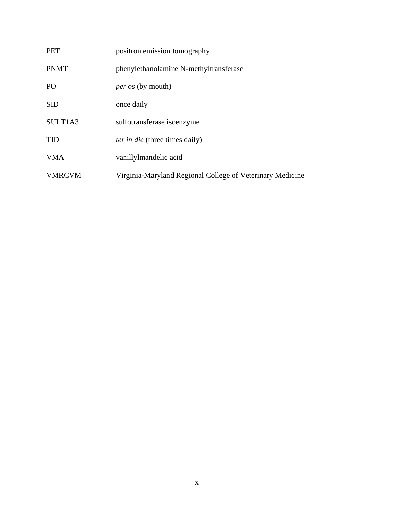| <b>PET</b>    | positron emission tomography                              |
|---------------|-----------------------------------------------------------|
| <b>PNMT</b>   | phenylethanolamine N-methyltransferase                    |
| PO            | <i>per os</i> (by mouth)                                  |
| <b>SID</b>    | once daily                                                |
| SULT1A3       | sulfotransferase isoenzyme                                |
| <b>TID</b>    | <i>ter in die</i> (three times daily)                     |
| <b>VMA</b>    | vanillylmandelic acid                                     |
| <b>VMRCVM</b> | Virginia-Maryland Regional College of Veterinary Medicine |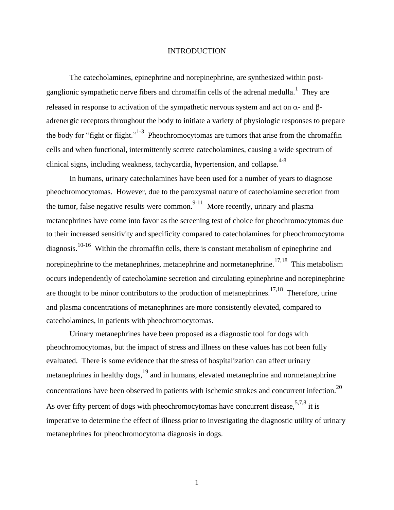#### INTRODUCTION

The catecholamines, epinephrine and norepinephrine, are synthesized within postganglionic sympathetic nerve fibers and chromaffin cells of the adrenal medulla.<sup>1</sup> They are released in response to activation of the sympathetic nervous system and act on  $\alpha$ - and  $\beta$ adrenergic receptors throughout the body to initiate a variety of physiologic responses to prepare the body for "fight or flight."<sup>1-3</sup> Pheochromocytomas are tumors that arise from the chromaffin cells and when functional, intermittently secrete catecholamines, causing a wide spectrum of clinical signs, including weakness, tachycardia, hypertension, and collapse.<sup>4-8</sup>

In humans, urinary catecholamines have been used for a number of years to diagnose pheochromocytomas. However, due to the paroxysmal nature of catecholamine secretion from the tumor, false negative results were common.  $9-11$  More recently, urinary and plasma metanephrines have come into favor as the screening test of choice for pheochromocytomas due to their increased sensitivity and specificity compared to catecholamines for pheochromocytoma diagnosis.<sup>10-16</sup> Within the chromaffin cells, there is constant metabolism of epinephrine and norepinephrine to the metanephrines, metanephrine and normetanephrine.<sup>17,18</sup> This metabolism occurs independently of catecholamine secretion and circulating epinephrine and norepinephrine are thought to be minor contributors to the production of metanephrines.<sup>17,18</sup> Therefore, urine and plasma concentrations of metanephrines are more consistently elevated, compared to catecholamines, in patients with pheochromocytomas.

Urinary metanephrines have been proposed as a diagnostic tool for dogs with pheochromocytomas, but the impact of stress and illness on these values has not been fully evaluated. There is some evidence that the stress of hospitalization can affect urinary metanephrines in healthy dogs,<sup>19</sup> and in humans, elevated metanephrine and normetanephrine concentrations have been observed in patients with ischemic strokes and concurrent infection.<sup>20</sup> As over fifty percent of dogs with pheochromocytomas have concurrent disease,  $5.7,8$  it is imperative to determine the effect of illness prior to investigating the diagnostic utility of urinary metanephrines for pheochromocytoma diagnosis in dogs.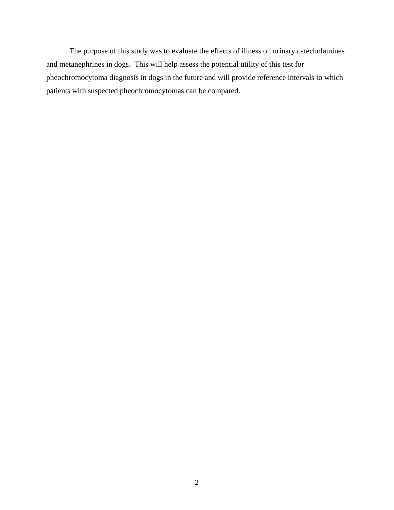The purpose of this study was to evaluate the effects of illness on urinary catecholamines and metanephrines in dogs. This will help assess the potential utility of this test for pheochromocytoma diagnosis in dogs in the future and will provide reference intervals to which patients with suspected pheochromocytomas can be compared.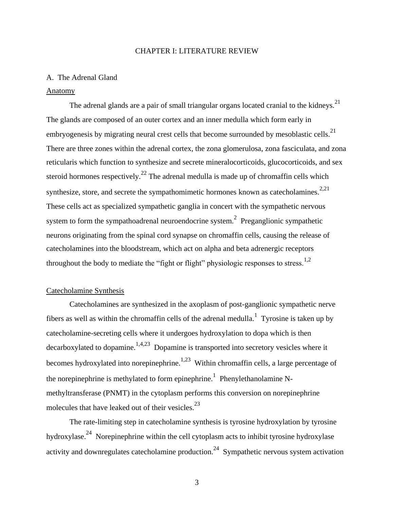#### CHAPTER I: LITERATURE REVIEW

## A. The Adrenal Gland

#### Anatomy

The adrenal glands are a pair of small triangular organs located cranial to the kidneys.<sup>21</sup> The glands are composed of an outer cortex and an inner medulla which form early in embryogenesis by migrating neural crest cells that become surrounded by mesoblastic cells.<sup>21</sup> There are three zones within the adrenal cortex, the zona glomerulosa, zona fasciculata, and zona reticularis which function to synthesize and secrete mineralocorticoids, glucocorticoids, and sex steroid hormones respectively.<sup>22</sup> The adrenal medulla is made up of chromaffin cells which synthesize, store, and secrete the sympathomimetic hormones known as catecholamines.<sup>2,21</sup> These cells act as specialized sympathetic ganglia in concert with the sympathetic nervous system to form the sympathoadrenal neuroendocrine system.<sup>2</sup> Preganglionic sympathetic neurons originating from the spinal cord synapse on chromaffin cells, causing the release of catecholamines into the bloodstream, which act on alpha and beta adrenergic receptors throughout the body to mediate the "fight or flight" physiologic responses to stress.<sup>1,2</sup>

## Catecholamine Synthesis

Catecholamines are synthesized in the axoplasm of post-ganglionic sympathetic nerve fibers as well as within the chromaffin cells of the adrenal medulla.<sup>1</sup> Tyrosine is taken up by catecholamine-secreting cells where it undergoes hydroxylation to dopa which is then decarboxylated to dopamine.<sup>1,4,23</sup> Dopamine is transported into secretory vesicles where it becomes hydroxylated into norepinephrine.<sup>1,23</sup> Within chromaffin cells, a large percentage of the norepinephrine is methylated to form epinephrine.<sup>1</sup> Phenylethanolamine Nmethyltransferase (PNMT) in the cytoplasm performs this conversion on norepinephrine molecules that have leaked out of their vesicles. $^{23}$ 

The rate-limiting step in catecholamine synthesis is tyrosine hydroxylation by tyrosine hydroxylase.<sup>24</sup> Norepinephrine within the cell cytoplasm acts to inhibit tyrosine hydroxylase activity and downregulates catecholamine production.<sup>24</sup> Sympathetic nervous system activation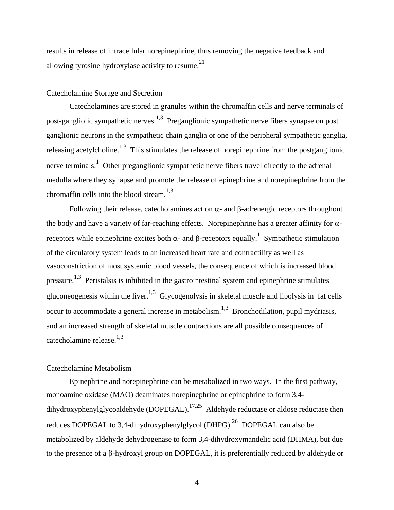results in release of intracellular norepinephrine, thus removing the negative feedback and allowing tyrosine hydroxylase activity to resume.<sup>21</sup>

## Catecholamine Storage and Secretion

Catecholamines are stored in granules within the chromaffin cells and nerve terminals of post-gangliolic sympathetic nerves.<sup>1,3</sup> Preganglionic sympathetic nerve fibers synapse on post ganglionic neurons in the sympathetic chain ganglia or one of the peripheral sympathetic ganglia, releasing acetylcholine.<sup>1,3</sup> This stimulates the release of norepinephrine from the postganglionic nerve terminals.<sup>1</sup> Other preganglionic sympathetic nerve fibers travel directly to the adrenal medulla where they synapse and promote the release of epinephrine and norepinephrine from the chromaffin cells into the blood stream. $1,3$ 

Following their release, cate cholamines act on  $\alpha$ - and  $\beta$ -adrenergic receptors throughout the body and have a variety of far-reaching effects. Norepinephrine has a greater affinity for  $\alpha$ receptors while epinephrine excites both  $\alpha$ - and  $\beta$ -receptors equally.<sup>1</sup> Sympathetic stimulation of the circulatory system leads to an increased heart rate and contractility as well as vasoconstriction of most systemic blood vessels, the consequence of which is increased blood pressure.<sup>1,3</sup> Peristalsis is inhibited in the gastrointestinal system and epinephrine stimulates gluconeogenesis within the liver.<sup>1,3</sup> Glycogenolysis in skeletal muscle and lipolysis in fat cells occur to accommodate a general increase in metabolism.<sup>1,3</sup> Bronchodilation, pupil mydriasis, and an increased strength of skeletal muscle contractions are all possible consequences of catecholamine release. $^{1,3}$ 

#### Catecholamine Metabolism

Epinephrine and norepinephrine can be metabolized in two ways. In the first pathway, monoamine oxidase (MAO) deaminates norepinephrine or epinephrine to form 3,4 dihydroxyphenylglycoaldehyde (DOPEGAL).<sup>17,25</sup> Aldehyde reductase or aldose reductase then reduces DOPEGAL to 3,4-dihydroxyphenylglycol (DHPG).<sup>26</sup> DOPEGAL can also be metabolized by aldehyde dehydrogenase to form 3,4-dihydroxymandelic acid (DHMA), but due to the presence of a  $\beta$ -hydroxyl group on DOPEGAL, it is preferentially reduced by aldehyde or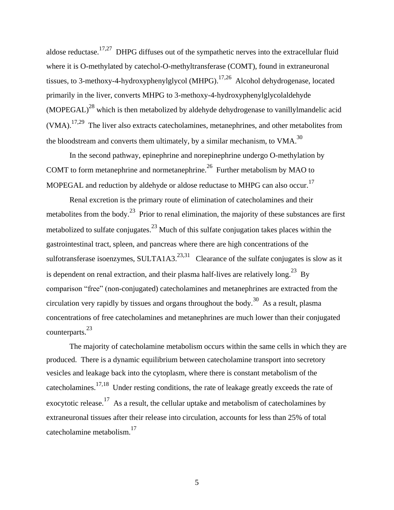aldose reductase.<sup>17,27</sup> DHPG diffuses out of the sympathetic nerves into the extracellular fluid where it is O-methylated by catechol-O-methyltransferase (COMT), found in extraneuronal tissues, to 3-methoxy-4-hydroxyphenylglycol (MHPG).<sup>17,26</sup> Alcohol dehydrogenase, located primarily in the liver, converts MHPG to 3-methoxy-4-hydroxyphenylglycolaldehyde  $(MOPEGAL)<sup>28</sup>$  which is then metabolized by aldehyde dehydrogenase to vanillylmandelic acid  $(VMA)$ .<sup>17,29</sup> The liver also extracts catecholamines, metanephrines, and other metabolites from the bloodstream and converts them ultimately, by a similar mechanism, to VMA.<sup>30</sup>

In the second pathway, epinephrine and norepinephrine undergo O-methylation by COMT to form metanephrine and normetanephrine. $2^6$  Further metabolism by MAO to MOPEGAL and reduction by aldehyde or aldose reductase to MHPG can also occur.<sup>17</sup>

Renal excretion is the primary route of elimination of catecholamines and their metabolites from the body.<sup>23</sup> Prior to renal elimination, the majority of these substances are first metabolized to sulfate conjugates.<sup>23</sup> Much of this sulfate conjugation takes places within the gastrointestinal tract, spleen, and pancreas where there are high concentrations of the sulfotransferase isoenzymes, SULTA1A3. $^{23,31}$  Clearance of the sulfate conjugates is slow as it is dependent on renal extraction, and their plasma half-lives are relatively long.<sup>23</sup> By comparison "free" (non-conjugated) catecholamines and metanephrines are extracted from the circulation very rapidly by tissues and organs throughout the body.<sup>30</sup> As a result, plasma concentrations of free catecholamines and metanephrines are much lower than their conjugated counterparts.<sup>23</sup>

The majority of catecholamine metabolism occurs within the same cells in which they are produced. There is a dynamic equilibrium between catecholamine transport into secretory vesicles and leakage back into the cytoplasm, where there is constant metabolism of the catecholamines.<sup>17,18</sup> Under resting conditions, the rate of leakage greatly exceeds the rate of exocytotic release.<sup>17</sup> As a result, the cellular uptake and metabolism of catecholamines by extraneuronal tissues after their release into circulation, accounts for less than 25% of total catecholamine metabolism.<sup>17</sup>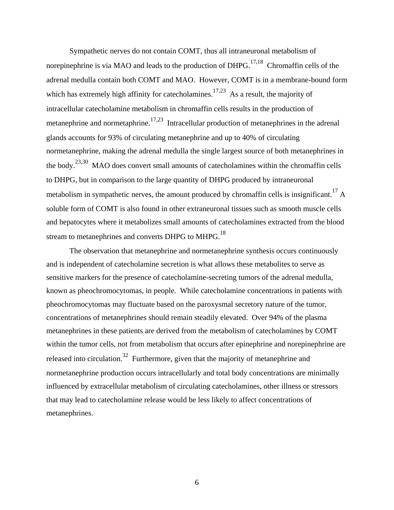Sympathetic nerves do not contain COMT, thus all intraneuronal metabolism of norepinephrine is via MAO and leads to the production of  $DHPG$ <sup>17,18</sup> Chromaffin cells of the adrenal medulla contain both COMT and MAO. However, COMT is in a membrane-bound form which has extremely high affinity for catecholamines.<sup>17,23</sup> As a result, the majority of intracellular catecholamine metabolism in chromaffin cells results in the production of metanephrine and normetaphrine.<sup>17,23</sup> Intracellular production of metanephrines in the adrenal glands accounts for 93% of circulating metanephrine and up to 40% of circulating normetanephrine, making the adrenal medulla the single largest source of both metanephrines in the body.<sup>23,30</sup> MAO does convert small amounts of cate cholamines within the chromaffin cells to DHPG, but in comparison to the large quantity of DHPG produced by intraneuronal metabolism in sympathetic nerves, the amount produced by chromaffin cells is insignificant.<sup>17</sup> A soluble form of COMT is also found in other extraneuronal tissues such as smooth muscle cells and hepatocytes where it metabolizes small amounts of catecholamines extracted from the blood stream to metanephrines and converts DHPG to MHPG.<sup>18</sup>

The observation that metanephrine and normetanephrine synthesis occurs continuously and is independent of catecholamine secretion is what allows these metabolites to serve as sensitive markers for the presence of catecholamine-secreting tumors of the adrenal medulla, known as pheochromocytomas, in people. While catecholamine concentrations in patients with pheochromocytomas may fluctuate based on the paroxysmal secretory nature of the tumor, concentrations of metanephrines should remain steadily elevated. Over 94% of the plasma metanephrines in these patients are derived from the metabolism of catecholamines by COMT within the tumor cells, not from metabolism that occurs after epinephrine and norepinephrine are released into circulation.<sup>32</sup> Furthermore, given that the majority of metanephrine and normetanephrine production occurs intracellularly and total body concentrations are minimally influenced by extracellular metabolism of circulating catecholamines, other illness or stressors that may lead to catecholamine release would be less likely to affect concentrations of metanephrines.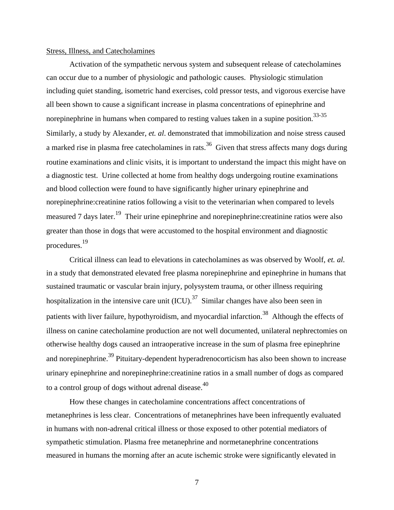## Stress, Illness, and Catecholamines

Activation of the sympathetic nervous system and subsequent release of catecholamines can occur due to a number of physiologic and pathologic causes. Physiologic stimulation including quiet standing, isometric hand exercises, cold pressor tests, and vigorous exercise have all been shown to cause a significant increase in plasma concentrations of epinephrine and norepinephrine in humans when compared to resting values taken in a supine position.<sup>33-35</sup> Similarly, a study by Alexander, *et. al*. demonstrated that immobilization and noise stress caused a marked rise in plasma free catecholamines in rats.<sup>36</sup> Given that stress affects many dogs during routine examinations and clinic visits, it is important to understand the impact this might have on a diagnostic test. Urine collected at home from healthy dogs undergoing routine examinations and blood collection were found to have significantly higher urinary epinephrine and norepinephrine:creatinine ratios following a visit to the veterinarian when compared to levels measured 7 days later.<sup>19</sup> Their urine epinephrine and norepinephrine: creatinine ratios were also greater than those in dogs that were accustomed to the hospital environment and diagnostic procedures.<sup>19</sup>

Critical illness can lead to elevations in catecholamines as was observed by Woolf, *et. al.* in a study that demonstrated elevated free plasma norepinephrine and epinephrine in humans that sustained traumatic or vascular brain injury, polysystem trauma, or other illness requiring hospitalization in the intensive care unit  ${(ICU)}$ .<sup>37</sup> Similar changes have also been seen in patients with liver failure, hypothyroidism, and myocardial infarction.<sup>38</sup> Although the effects of illness on canine catecholamine production are not well documented, unilateral nephrectomies on otherwise healthy dogs caused an intraoperative increase in the sum of plasma free epinephrine and norepinephrine.<sup>39</sup> Pituitary-dependent hyperadrenocorticism has also been shown to increase urinary epinephrine and norepinephrine:creatinine ratios in a small number of dogs as compared to a control group of dogs without adrenal disease.<sup>40</sup>

How these changes in catecholamine concentrations affect concentrations of metanephrines is less clear. Concentrations of metanephrines have been infrequently evaluated in humans with non-adrenal critical illness or those exposed to other potential mediators of sympathetic stimulation. Plasma free metanephrine and normetanephrine concentrations measured in humans the morning after an acute ischemic stroke were significantly elevated in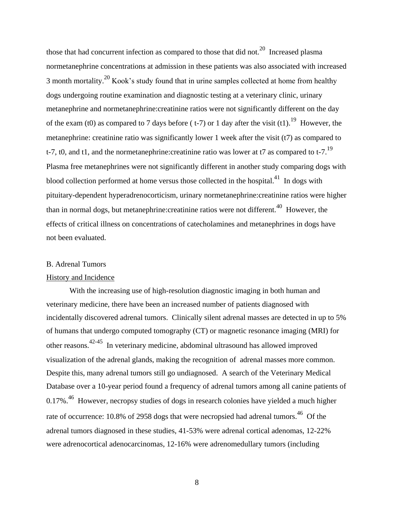those that had concurrent infection as compared to those that did not.<sup>20</sup> Increased plasma normetanephrine concentrations at admission in these patients was also associated with increased 3 month mortality.<sup>20</sup> Kook's study found that in urine samples collected at home from healthy dogs undergoing routine examination and diagnostic testing at a veterinary clinic, urinary metanephrine and normetanephrine:creatinine ratios were not significantly different on the day of the exam (t0) as compared to 7 days before ( $t$ -7) or 1 day after the visit (t1).<sup>19</sup> However, the metanephrine: creatinine ratio was significantly lower 1 week after the visit (t7) as compared to t-7, t0, and t1, and the normetanephrine: creatinine ratio was lower at t7 as compared to t-7.<sup>19</sup> Plasma free metanephrines were not significantly different in another study comparing dogs with blood collection performed at home versus those collected in the hospital. $^{41}$  In dogs with pituitary-dependent hyperadrenocorticism, urinary normetanephrine:creatinine ratios were higher than in normal dogs, but metanephrine: creatinine ratios were not different.<sup>40</sup> However, the effects of critical illness on concentrations of catecholamines and metanephrines in dogs have not been evaluated.

#### B. Adrenal Tumors

## History and Incidence

With the increasing use of high-resolution diagnostic imaging in both human and veterinary medicine, there have been an increased number of patients diagnosed with incidentally discovered adrenal tumors. Clinically silent adrenal masses are detected in up to 5% of humans that undergo computed tomography (CT) or magnetic resonance imaging (MRI) for other reasons.<sup>42-45</sup> In veterinary medicine, abdominal ultrasound has allowed improved visualization of the adrenal glands, making the recognition of adrenal masses more common. Despite this, many adrenal tumors still go undiagnosed. A search of the Veterinary Medical Database over a 10-year period found a frequency of adrenal tumors among all canine patients of 0.17%.<sup>46</sup> However, necropsy studies of dogs in research colonies have yielded a much higher rate of occurrence: 10.8% of 2958 dogs that were necropsied had adrenal tumors.<sup>46</sup> Of the adrenal tumors diagnosed in these studies, 41-53% were adrenal cortical adenomas, 12-22% were adrenocortical adenocarcinomas, 12-16% were adrenomedullary tumors (including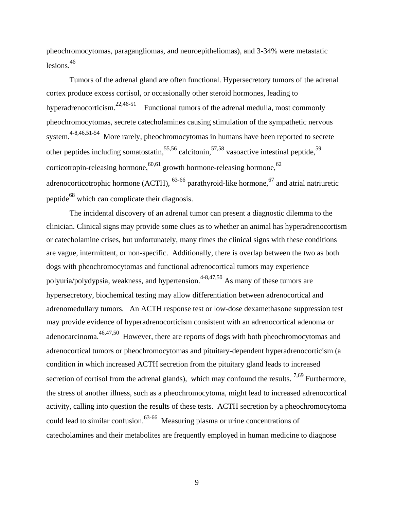pheochromocytomas, paragangliomas, and neuroepitheliomas), and 3-34% were metastatic lesions.<sup>46</sup>

Tumors of the adrenal gland are often functional. Hypersecretory tumors of the adrenal cortex produce excess cortisol, or occasionally other steroid hormones, leading to hyperadrenocorticism.<sup>22,46-51</sup> Functional tumors of the adrenal medulla, most commonly pheochromocytomas, secrete catecholamines causing stimulation of the sympathetic nervous system.<sup>4-8,46,51-54</sup> More rarely, pheochromocytomas in humans have been reported to secrete other peptides including somatostatin,  $55,56$  calcitonin,  $57,58$  vasoactive intestinal peptide,  $59$ corticotropin-releasing hormone,  $60,61$  growth hormone-releasing hormone,  $62$ adrenocorticotrophic hormone (ACTH),  $63-66$  parathyroid-like hormone,  $67$  and atrial natriuretic peptide<sup>68</sup> which can complicate their diagnosis.

The incidental discovery of an adrenal tumor can present a diagnostic dilemma to the clinician. Clinical signs may provide some clues as to whether an animal has hyperadrenocortism or catecholamine crises, but unfortunately, many times the clinical signs with these conditions are vague, intermittent, or non-specific. Additionally, there is overlap between the two as both dogs with pheochromocytomas and functional adrenocortical tumors may experience polyuria/polydypsia, weakness, and hypertension.<sup> $4-8,47,50$ </sup> As many of these tumors are hypersecretory, biochemical testing may allow differentiation between adrenocortical and adrenomedullary tumors. An ACTH response test or low-dose dexamethasone suppression test may provide evidence of hyperadrenocorticism consistent with an adrenocortical adenoma or adenocarcinoma.<sup>46,47,50</sup> However, there are reports of dogs with both pheochromocytomas and adrenocortical tumors or pheochromocytomas and pituitary-dependent hyperadrenocorticism (a condition in which increased ACTH secretion from the pituitary gland leads to increased secretion of cortisol from the adrenal glands), which may confound the results.  $^{7,69}$  Furthermore, the stress of another illness, such as a pheochromocytoma, might lead to increased adrenocortical activity, calling into question the results of these tests. ACTH secretion by a pheochromocytoma could lead to similar confusion.<sup>63-66</sup> Measuring plasma or urine concentrations of catecholamines and their metabolites are frequently employed in human medicine to diagnose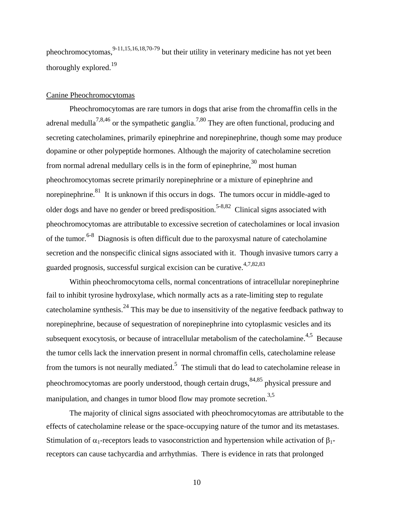pheochromocytomas,  $9-11,15,16,18,70-79$  but their utility in veterinary medicine has not yet been thoroughly explored.<sup>19</sup>

#### Canine Pheochromocytomas

Pheochromocytomas are rare tumors in dogs that arise from the chromaffin cells in the adrenal medulla<sup>7,8,46</sup> or the sympathetic ganglia.<sup>7,80</sup> They are often functional, producing and secreting catecholamines, primarily epinephrine and norepinephrine, though some may produce dopamine or other polypeptide hormones. Although the majority of catecholamine secretion from normal adrenal medullary cells is in the form of epinephrine,  $30^{\circ}$  most human pheochromocytomas secrete primarily norepinephrine or a mixture of epinephrine and norepinephrine.<sup>81</sup> It is unknown if this occurs in dogs. The tumors occur in middle-aged to older dogs and have no gender or breed predisposition.<sup>5-8,82</sup> Clinical signs associated with pheochromocytomas are attributable to excessive secretion of catecholamines or local invasion of the tumor.<sup>6-8</sup> Diagnosis is often difficult due to the paroxysmal nature of catecholamine secretion and the nonspecific clinical signs associated with it. Though invasive tumors carry a guarded prognosis, successful surgical excision can be curative.  $4,7,82,83$ 

Within pheochromocytoma cells, normal concentrations of intracellular norepinephrine fail to inhibit tyrosine hydroxylase, which normally acts as a rate-limiting step to regulate cate cholamine synthesis.<sup>24</sup> This may be due to insensitivity of the negative feedback pathway to norepinephrine, because of sequestration of norepinephrine into cytoplasmic vesicles and its subsequent exocytosis, or because of intracellular metabolism of the catecholamine.<sup>4,5</sup> Because the tumor cells lack the innervation present in normal chromaffin cells, catecholamine release from the tumors is not neurally mediated.<sup>5</sup> The stimuli that do lead to cate cholamine release in pheochromocytomas are poorly understood, though certain drugs,  $84,85$  physical pressure and manipulation, and changes in tumor blood flow may promote secretion.<sup>3,5</sup>

The majority of clinical signs associated with pheochromocytomas are attributable to the effects of catecholamine release or the space-occupying nature of the tumor and its metastases. Stimulation of  $\alpha_1$ -receptors leads to vasoconstriction and hypertension while activation of  $\beta_1$ receptors can cause tachycardia and arrhythmias. There is evidence in rats that prolonged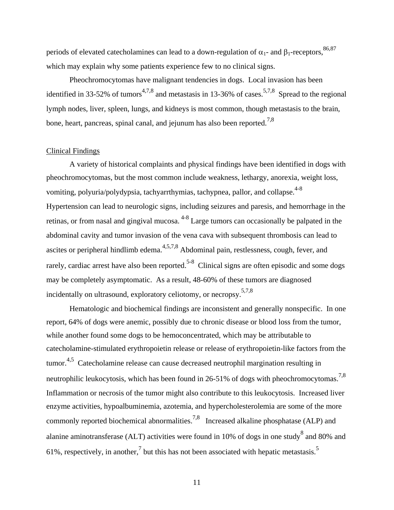periods of elevated catecholamines can lead to a down-regulation of  $\alpha_1$ - and  $\beta_1$ -receptors,  $86,87$ which may explain why some patients experience few to no clinical signs.

Pheochromocytomas have malignant tendencies in dogs. Local invasion has been identified in 33-52% of tumors<sup>4,7,8</sup> and metastasis in 13-36% of cases.<sup>5,7,8</sup> Spread to the regional lymph nodes, liver, spleen, lungs, and kidneys is most common, though metastasis to the brain, bone, heart, pancreas, spinal canal, and jejunum has also been reported.<sup>7,8</sup>

#### Clinical Findings

A variety of historical complaints and physical findings have been identified in dogs with pheochromocytomas, but the most common include weakness, lethargy, anorexia, weight loss, vomiting, polyuria/polydypsia, tachyarrthymias, tachypnea, pallor, and collapse.<sup>4-8</sup> Hypertension can lead to neurologic signs, including seizures and paresis, and hemorrhage in the retinas, or from nasal and gingival mucosa.  $4-8$  Large tumors can occasionally be palpated in the abdominal cavity and tumor invasion of the vena cava with subsequent thrombosis can lead to ascites or peripheral hindlimb edema.<sup>4,5,7,8</sup> Abdominal pain, restlessness, cough, fever, and rarely, cardiac arrest have also been reported.<sup>5-8</sup> Clinical signs are often episodic and some dogs may be completely asymptomatic. As a result, 48-60% of these tumors are diagnosed incidentally on ultrasound, exploratory celiotomy, or necropsy.5,7,8

Hematologic and biochemical findings are inconsistent and generally nonspecific. In one report, 64% of dogs were anemic, possibly due to chronic disease or blood loss from the tumor, while another found some dogs to be hemoconcentrated, which may be attributable to catecholamine-stimulated erythropoietin release or release of erythropoietin-like factors from the tumor.<sup>4,5</sup> Catecholamine release can cause decreased neutrophil margination resulting in neutrophilic leukocytosis, which has been found in 26-51% of dogs with pheochromocytomas.<sup>7,8</sup> Inflammation or necrosis of the tumor might also contribute to this leukocytosis. Increased liver enzyme activities, hypoalbuminemia, azotemia, and hypercholesterolemia are some of the more commonly reported biochemical abnormalities.<sup>7,8</sup> Increased alkaline phosphatase (ALP) and alanine aminotransferase (ALT) activities were found in 10% of dogs in one study<sup>8</sup> and 80% and 61%, respectively, in another,  $\frac{7}{1}$  but this has not been associated with hepatic metastasis.<sup>5</sup>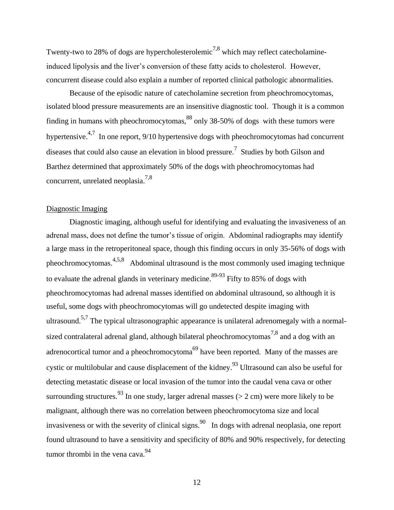Twenty-two to 28% of dogs are hypercholesterolemic<sup>7,8</sup> which may reflect catecholamineinduced lipolysis and the liver's conversion of these fatty acids to cholesterol. However, concurrent disease could also explain a number of reported clinical pathologic abnormalities.

Because of the episodic nature of catecholamine secretion from pheochromocytomas, isolated blood pressure measurements are an insensitive diagnostic tool. Though it is a common finding in humans with pheochromocytomas,  $\frac{88}{30}$  only 38-50% of dogs with these tumors were hypertensive.<sup>4,7</sup> In one report, 9/10 hypertensive dogs with pheochromocytomas had concurrent diseases that could also cause an elevation in blood pressure.<sup>7</sup> Studies by both Gilson and Barthez determined that approximately 50% of the dogs with pheochromocytomas had concurrent, unrelated neoplasia.7,8

#### Diagnostic Imaging

Diagnostic imaging, although useful for identifying and evaluating the invasiveness of an adrenal mass, does not define the tumor's tissue of origin. Abdominal radiographs may identify a large mass in the retroperitoneal space, though this finding occurs in only 35-56% of dogs with pheochromocytomas.<sup>4,5,8</sup> Abdominal ultrasound is the most commonly used imaging technique to evaluate the adrenal glands in veterinary medicine.<sup>89-93</sup> Fifty to 85% of dogs with pheochromocytomas had adrenal masses identified on abdominal ultrasound, so although it is useful, some dogs with pheochromocytomas will go undetected despite imaging with ultrasound.<sup>5,7</sup> The typical ultrasonographic appearance is unilateral adrenomegaly with a normalsized contralateral adrenal gland, although bilateral pheochromocytomas<sup>7,8</sup> and a dog with an adrenocortical tumor and a pheochromocytoma<sup>69</sup> have been reported. Many of the masses are cystic or multilobular and cause displacement of the kidney.<sup>93</sup> Ultrasound can also be useful for detecting metastatic disease or local invasion of the tumor into the caudal vena cava or other surrounding structures.<sup>93</sup> In one study, larger adrenal masses ( $> 2$  cm) were more likely to be malignant, although there was no correlation between pheochromocytoma size and local invasiveness or with the severity of clinical signs.  $\frac{90}{90}$  In dogs with adrenal neoplasia, one report found ultrasound to have a sensitivity and specificity of 80% and 90% respectively, for detecting tumor thrombi in the vena cava.  $94$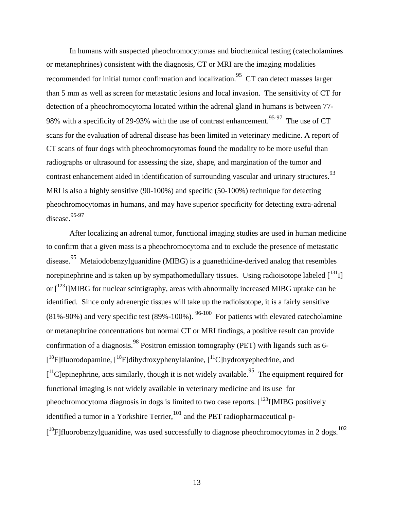In humans with suspected pheochromocytomas and biochemical testing (catecholamines or metanephrines) consistent with the diagnosis, CT or MRI are the imaging modalities recommended for initial tumor confirmation and localization.<sup>95</sup> CT can detect masses larger than 5 mm as well as screen for metastatic lesions and local invasion. The sensitivity of CT for detection of a pheochromocytoma located within the adrenal gland in humans is between 77- 98% with a specificity of 29-93% with the use of contrast enhancement. <sup>95-97</sup> The use of CT scans for the evaluation of adrenal disease has been limited in veterinary medicine. A report of CT scans of four dogs with pheochromocytomas found the modality to be more useful than radiographs or ultrasound for assessing the size, shape, and margination of the tumor and contrast enhancement aided in identification of surrounding vascular and urinary structures.  $93$ MRI is also a highly sensitive (90-100%) and specific (50-100%) technique for detecting pheochromocytomas in humans, and may have superior specificity for detecting extra-adrenal disease.<sup>95-97</sup>

After localizing an adrenal tumor, functional imaging studies are used in human medicine to confirm that a given mass is a pheochromocytoma and to exclude the presence of metastatic disease.<sup>95</sup> Metaiodobenzylguanidine (MIBG) is a guanethidine-derived analog that resembles norepinephrine and is taken up by sympathomedullary tissues. Using radioisotope labeled  $\int^{131}$ I] or  $\int^{123}$ I]MIBG for nuclear scintigraphy, areas with abnormally increased MIBG uptake can be identified. Since only adrenergic tissues will take up the radioisotope, it is a fairly sensitive  $(81\% - 90\%)$  and very specific test  $(89\% - 100\%)$ .  $^{96-100}$  For patients with elevated catecholamine or metanephrine concentrations but normal CT or MRI findings, a positive result can provide confirmation of a diagnosis.<sup>98</sup> Positron emission tomography (PET) with ligands such as 6- $[18F]$ fluorodopamine,  $[18F]$ dihydroxyphenylalanine,  $[11C]$ hydroxyephedrine, and  $[$ <sup>11</sup>C]epinephrine, acts similarly, though it is not widely available.<sup>95</sup> The equipment required for functional imaging is not widely available in veterinary medicine and its use for pheochromocytoma diagnosis in dogs is limited to two case reports.  $\int^{123} I \sim NIBG$  positively identified a tumor in a Yorkshire Terrier, $101$  and the PET radiopharmaceutical p- $[$ <sup>18</sup>F]fluorobenzylguanidine, was used successfully to diagnose pheochromocytomas in 2 dogs.<sup>102</sup>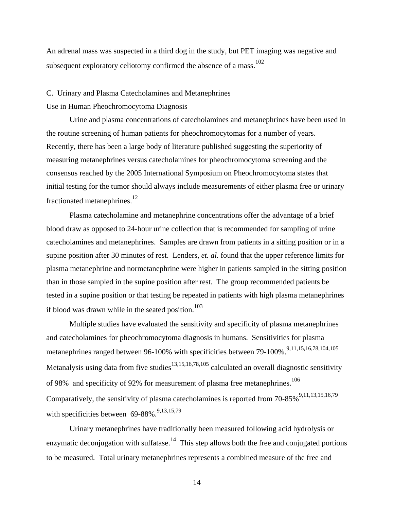An adrenal mass was suspected in a third dog in the study, but PET imaging was negative and subsequent exploratory celiotomy confirmed the absence of a mass.<sup>102</sup>

#### C. Urinary and Plasma Catecholamines and Metanephrines

#### Use in Human Pheochromocytoma Diagnosis

Urine and plasma concentrations of catecholamines and metanephrines have been used in the routine screening of human patients for pheochromocytomas for a number of years. Recently, there has been a large body of literature published suggesting the superiority of measuring metanephrines versus catecholamines for pheochromocytoma screening and the consensus reached by the 2005 International Symposium on Pheochromocytoma states that initial testing for the tumor should always include measurements of either plasma free or urinary fractionated metanephrines.<sup>12</sup>

Plasma catecholamine and metanephrine concentrations offer the advantage of a brief blood draw as opposed to 24-hour urine collection that is recommended for sampling of urine catecholamines and metanephrines. Samples are drawn from patients in a sitting position or in a supine position after 30 minutes of rest. Lenders*, et. al.* found that the upper reference limits for plasma metanephrine and normetanephrine were higher in patients sampled in the sitting position than in those sampled in the supine position after rest. The group recommended patients be tested in a supine position or that testing be repeated in patients with high plasma metanephrines if blood was drawn while in the seated position. $103$ 

Multiple studies have evaluated the sensitivity and specificity of plasma metanephrines and catecholamines for pheochromocytoma diagnosis in humans. Sensitivities for plasma metanephrines ranged between 96-100% with specificities between 79-100%.<sup>9,11,15,16,78,104,105</sup> Metanalysis using data from five studies<sup>13,15,16,78,105</sup> calculated an overall diagnostic sensitivity of 98% and specificity of 92% for measurement of plasma free metanephrines.<sup>106</sup> Comparatively, the sensitivity of plasma catecholamines is reported from 70-85%<sup>9,11,13,15,16,79</sup> with specificities between 69-88%.<sup>9,13,15,79</sup>

Urinary metanephrines have traditionally been measured following acid hydrolysis or enzymatic deconjugation with sulfatase.<sup>14</sup> This step allows both the free and conjugated portions to be measured. Total urinary metanephrines represents a combined measure of the free and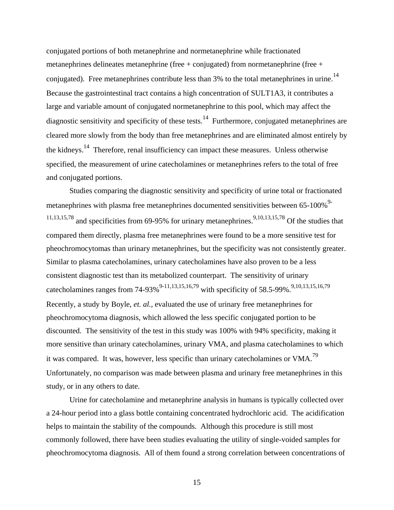conjugated portions of both metanephrine and normetanephrine while fractionated metanephrines delineates metanephrine (free + conjugated) from normetanephrine (free + conjugated). Free metanephrines contribute less than 3% to the total metanephrines in urine.<sup>14</sup> Because the gastrointestinal tract contains a high concentration of SULT1A3, it contributes a large and variable amount of conjugated normetanephrine to this pool, which may affect the diagnostic sensitivity and specificity of these tests.<sup>14</sup> Furthermore, conjugated metanephrines are cleared more slowly from the body than free metanephrines and are eliminated almost entirely by the kidneys.<sup>14</sup> Therefore, renal insufficiency can impact these measures. Unless otherwise specified, the measurement of urine catecholamines or metanephrines refers to the total of free and conjugated portions.

Studies comparing the diagnostic sensitivity and specificity of urine total or fractionated metanephrines with plasma free metanephrines documented sensitivities between 65-100%<sup>9-</sup>  $11,13,15,78$  and specificities from 69-95% for urinary metanephrines.<sup>9,10,13,15,78</sup> Of the studies that compared them directly, plasma free metanephrines were found to be a more sensitive test for pheochromocytomas than urinary metanephrines, but the specificity was not consistently greater. Similar to plasma catecholamines, urinary catecholamines have also proven to be a less consistent diagnostic test than its metabolized counterpart. The sensitivity of urinary catecholamines ranges from 74-93% <sup>9-11,13,15,16,79</sup> with specificity of 58.5-99%.<sup>9,10,13,15,16,79</sup> Recently, a study by Boyle, *et. al.,* evaluated the use of urinary free metanephrines for pheochromocytoma diagnosis, which allowed the less specific conjugated portion to be discounted. The sensitivity of the test in this study was 100% with 94% specificity, making it more sensitive than urinary catecholamines, urinary VMA, and plasma catecholamines to which it was compared. It was, however, less specific than urinary cate cholamines or VMA.<sup>79</sup> Unfortunately, no comparison was made between plasma and urinary free metanephrines in this study, or in any others to date.

Urine for catecholamine and metanephrine analysis in humans is typically collected over a 24-hour period into a glass bottle containing concentrated hydrochloric acid. The acidification helps to maintain the stability of the compounds. Although this procedure is still most commonly followed, there have been studies evaluating the utility of single-voided samples for pheochromocytoma diagnosis. All of them found a strong correlation between concentrations of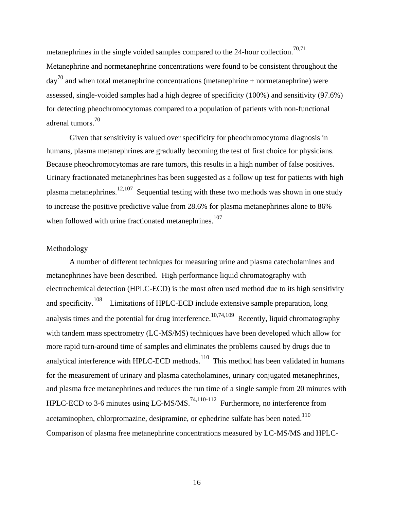metanephrines in the single voided samples compared to the 24-hour collection.<sup>70,71</sup> Metanephrine and normetanephrine concentrations were found to be consistent throughout the  $day^{70}$  and when total metanephrine concentrations (metanephrine + normetanephrine) were assessed, single-voided samples had a high degree of specificity (100%) and sensitivity (97.6%) for detecting pheochromocytomas compared to a population of patients with non-functional adrenal tumors.<sup>70</sup>

Given that sensitivity is valued over specificity for pheochromocytoma diagnosis in humans, plasma metanephrines are gradually becoming the test of first choice for physicians. Because pheochromocytomas are rare tumors, this results in a high number of false positives. Urinary fractionated metanephrines has been suggested as a follow up test for patients with high plasma metanephrines.<sup>12,107</sup> Sequential testing with these two methods was shown in one study to increase the positive predictive value from 28.6% for plasma metanephrines alone to 86% when followed with urine fractionated metanephrines.<sup>107</sup>

#### Methodology

A number of different techniques for measuring urine and plasma catecholamines and metanephrines have been described. High performance liquid chromatography with electrochemical detection (HPLC-ECD) is the most often used method due to its high sensitivity and specificity.<sup>108</sup> Limitations of HPLC-ECD include extensive sample preparation, long analysis times and the potential for drug interference.<sup>10,74,109</sup> Recently, liquid chromatography with tandem mass spectrometry (LC-MS/MS) techniques have been developed which allow for more rapid turn-around time of samples and eliminates the problems caused by drugs due to analytical interference with HPLC-ECD methods.<sup>110</sup> This method has been validated in humans for the measurement of urinary and plasma catecholamines, urinary conjugated metanephrines, and plasma free metanephrines and reduces the run time of a single sample from 20 minutes with HPLC-ECD to 3-6 minutes using LC-MS/MS.<sup>74,110-112</sup> Furthermore, no interference from acetaminophen, chlorpromazine, desipramine, or ephedrine sulfate has been noted.<sup>110</sup> Comparison of plasma free metanephrine concentrations measured by LC-MS/MS and HPLC-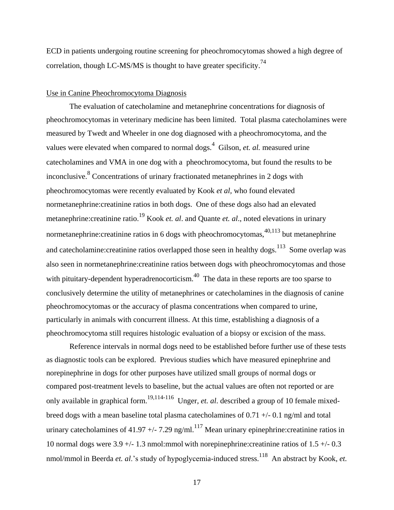ECD in patients undergoing routine screening for pheochromocytomas showed a high degree of correlation, though LC-MS/MS is thought to have greater specificity.<sup>74</sup>

#### Use in Canine Pheochromocytoma Diagnosis

The evaluation of catecholamine and metanephrine concentrations for diagnosis of pheochromocytomas in veterinary medicine has been limited. Total plasma catecholamines were measured by Twedt and Wheeler in one dog diagnosed with a pheochromocytoma, and the values were elevated when compared to normal dogs.<sup>4</sup> Gilson, *et. al.* measured urine catecholamines and VMA in one dog with a pheochromocytoma, but found the results to be inconclusive.<sup>8</sup> Concentrations of urinary fractionated metanephrines in 2 dogs with pheochromocytomas were recently evaluated by Kook *et al,* who found elevated normetanephrine:creatinine ratios in both dogs. One of these dogs also had an elevated metanephrine:creatinine ratio.<sup>19</sup> Kook *et. al*. and Quante *et. al*., noted elevations in urinary normetanephrine: creatinine ratios in 6 dogs with pheochromocytomas,  $40,113$  but metanephrine and catecholamine: creatinine ratios overlapped those seen in healthy dogs.  $113$  Some overlap was also seen in normetanephrine:creatinine ratios between dogs with pheochromocytomas and those with pituitary-dependent hyperadrenocorticism. $^{40}$  The data in these reports are too sparse to conclusively determine the utility of metanephrines or catecholamines in the diagnosis of canine pheochromocytomas or the accuracy of plasma concentrations when compared to urine, particularly in animals with concurrent illness. At this time, establishing a diagnosis of a pheochromocytoma still requires histologic evaluation of a biopsy or excision of the mass.

Reference intervals in normal dogs need to be established before further use of these tests as diagnostic tools can be explored. Previous studies which have measured epinephrine and norepinephrine in dogs for other purposes have utilized small groups of normal dogs or compared post-treatment levels to baseline, but the actual values are often not reported or are only available in graphical form.<sup>19,114-116</sup> Unger, *et. al.* described a group of 10 female mixedbreed dogs with a mean baseline total plasma catecholamines of 0.71 +/- 0.1 ng/ml and total urinary cate cholamines of 41.97 +/- 7.29 ng/ml.<sup>117</sup> Mean urinary epinephrine: creatinine ratios in 10 normal dogs were  $3.9 +/- 1.3$  nmol:mmol with norepinephrine: creatinine ratios of  $1.5 +/- 0.3$ nmol/mmol in Beerda *et. al.*'s study of hypoglycemia-induced stress.<sup>118</sup> An abstract by Kook, *et.*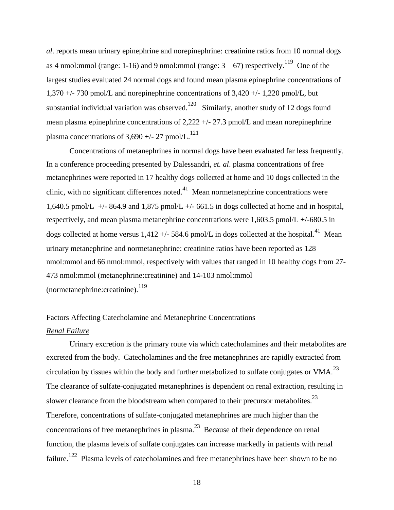*al*. reports mean urinary epinephrine and norepinephrine: creatinine ratios from 10 normal dogs as 4 nmol:mmol (range: 1-16) and 9 nmol:mmol (range:  $3-67$ ) respectively.<sup>119</sup> One of the largest studies evaluated 24 normal dogs and found mean plasma epinephrine concentrations of 1,370 +/- 730 pmol/L and norepinephrine concentrations of 3,420 +/- 1,220 pmol/L, but substantial individual variation was observed.<sup>120</sup> Similarly, another study of 12 dogs found mean plasma epinephrine concentrations of 2,222 +/- 27.3 pmol/L and mean norepinephrine plasma concentrations of 3,690 +/- 27 pmol/L.<sup>121</sup>

Concentrations of metanephrines in normal dogs have been evaluated far less frequently. In a conference proceeding presented by Dalessandri*, et. al*. plasma concentrations of free metanephrines were reported in 17 healthy dogs collected at home and 10 dogs collected in the clinic, with no significant differences noted. $41$  Mean normetanephrine concentrations were 1,640.5 pmol/L +/- 864.9 and 1,875 pmol/L +/- 661.5 in dogs collected at home and in hospital, respectively, and mean plasma metanephrine concentrations were 1,603.5 pmol/L +/-680.5 in dogs collected at home versus 1,412 +/- 584.6 pmol/L in dogs collected at the hospital.<sup>41</sup> Mean urinary metanephrine and normetanephrine: creatinine ratios have been reported as 128 nmol:mmol and 66 nmol:mmol, respectively with values that ranged in 10 healthy dogs from 27- 473 nmol:mmol (metanephrine:creatinine) and 14-103 nmol:mmol (normetanephrine: creatinine).  $^{119}$ 

# Factors Affecting Catecholamine and Metanephrine Concentrations *Renal Failure*

Urinary excretion is the primary route via which catecholamines and their metabolites are excreted from the body. Catecholamines and the free metanephrines are rapidly extracted from circulation by tissues within the body and further metabolized to sulfate conjugates or VMA. $^{23}$ The clearance of sulfate-conjugated metanephrines is dependent on renal extraction, resulting in slower clearance from the bloodstream when compared to their precursor metabolites. $^{23}$ Therefore, concentrations of sulfate-conjugated metanephrines are much higher than the concentrations of free metanephrines in plasma. $^{23}$  Because of their dependence on renal function, the plasma levels of sulfate conjugates can increase markedly in patients with renal failure.<sup>122</sup> Plasma levels of catecholamines and free metanephrines have been shown to be no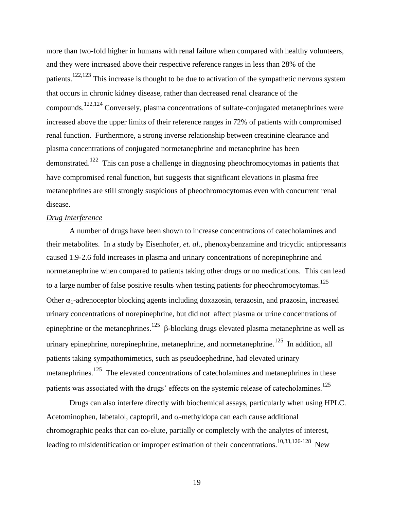more than two-fold higher in humans with renal failure when compared with healthy volunteers, and they were increased above their respective reference ranges in less than 28% of the patients.<sup>122,123</sup> This increase is thought to be due to activation of the sympathetic nervous system that occurs in chronic kidney disease, rather than decreased renal clearance of the compounds.122,124 Conversely, plasma concentrations of sulfate-conjugated metanephrines were increased above the upper limits of their reference ranges in 72% of patients with compromised renal function. Furthermore, a strong inverse relationship between creatinine clearance and plasma concentrations of conjugated normetanephrine and metanephrine has been demonstrated.<sup>122</sup> This can pose a challenge in diagnosing pheochromocytomas in patients that have compromised renal function, but suggests that significant elevations in plasma free metanephrines are still strongly suspicious of pheochromocytomas even with concurrent renal disease.

#### *Drug Interference*

A number of drugs have been shown to increase concentrations of catecholamines and their metabolites. In a study by Eisenhofer, *et. al*., phenoxybenzamine and tricyclic antipressants caused 1.9-2.6 fold increases in plasma and urinary concentrations of norepinephrine and normetanephrine when compared to patients taking other drugs or no medications. This can lead to a large number of false positive results when testing patients for pheochromocytomas.<sup>125</sup> Other  $\alpha_1$ -adrenoceptor blocking agents including doxazosin, terazosin, and prazosin, increased urinary concentrations of norepinephrine, but did not affect plasma or urine concentrations of epinephrine or the metanephrines.<sup>125</sup>  $\beta$ -blocking drugs elevated plasma metanephrine as well as urinary epinephrine, norepinephrine, metanephrine, and normetanephrine.<sup>125</sup> In addition, all patients taking sympathomimetics, such as pseudoephedrine, had elevated urinary metanephrines.<sup>125</sup> The elevated concentrations of catecholamines and metanephrines in these patients was associated with the drugs' effects on the systemic release of catecholamines.<sup>125</sup>

Drugs can also interfere directly with biochemical assays, particularly when using HPLC. Acetominophen, labetalol, captopril, and  $\alpha$ -methyldopa can each cause additional chromographic peaks that can co-elute, partially or completely with the analytes of interest, leading to misidentification or improper estimation of their concentrations.  $^{10,33,126-128}$  New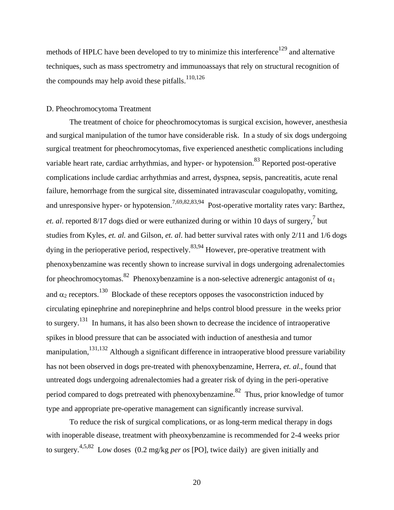methods of HPLC have been developed to try to minimize this interference<sup>129</sup> and alternative techniques, such as mass spectrometry and immunoassays that rely on structural recognition of the compounds may help avoid these pitfalls. $110,126$ 

#### D. Pheochromocytoma Treatment

The treatment of choice for pheochromocytomas is surgical excision, however, anesthesia and surgical manipulation of the tumor have considerable risk. In a study of six dogs undergoing surgical treatment for pheochromocytomas, five experienced anesthetic complications including variable heart rate, cardiac arrhythmias, and hyper- or hypotension.<sup>83</sup> Reported post-operative complications include cardiac arrhythmias and arrest, dyspnea, sepsis, pancreatitis, acute renal failure, hemorrhage from the surgical site, disseminated intravascular coagulopathy, vomiting, and unresponsive hyper- or hypotension.<sup>7,69,82,83,94</sup> Post-operative mortality rates vary: Barthez, *et. al.* reported 8/17 dogs died or were euthanized during or within 10 days of surgery,  $\frac{7}{1}$  but studies from Kyles, *et. al.* and Gilson, *et. al*. had better survival rates with only 2/11 and 1/6 dogs dying in the perioperative period, respectively.  $83,94$  However, pre-operative treatment with phenoxybenzamine was recently shown to increase survival in dogs undergoing adrenalectomies for pheochromocytomas.<sup>82</sup> Phenoxybenzamine is a non-selective adrenergic antagonist of  $\alpha_1$ and  $\alpha_2$  receptors.<sup>130</sup> Blockade of these receptors opposes the vasoconstriction induced by circulating epinephrine and norepinephrine and helps control blood pressure in the weeks prior to surgery.<sup>131</sup> In humans, it has also been shown to decrease the incidence of intraoperative spikes in blood pressure that can be associated with induction of anesthesia and tumor manipulation, $131,132$  Although a significant difference in intraoperative blood pressure variability has not been observed in dogs pre-treated with phenoxybenzamine, Herrera, *et. al*., found that untreated dogs undergoing adrenalectomies had a greater risk of dying in the peri-operative period compared to dogs pretreated with phenoxybenzamine.<sup>82</sup> Thus, prior knowledge of tumor type and appropriate pre-operative management can significantly increase survival.

To reduce the risk of surgical complications, or as long-term medical therapy in dogs with inoperable disease, treatment with pheoxybenzamine is recommended for 2-4 weeks prior to surgery.4,5,82 Low doses (0.2 mg/kg *per os* [PO], twice daily) are given initially and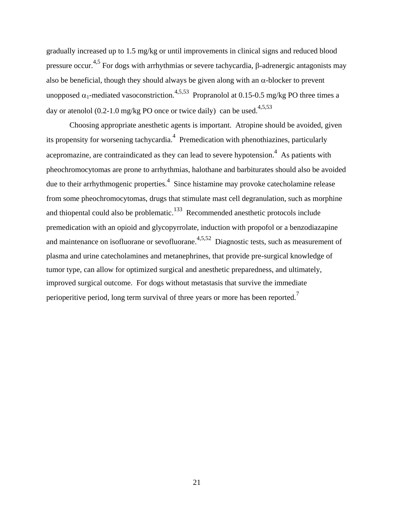gradually increased up to 1.5 mg/kg or until improvements in clinical signs and reduced blood pressure occur.<sup>4,5</sup> For dogs with arrhythmias or severe tachycardia,  $\beta$ -adrenergic antagonists may also be beneficial, though they should always be given along with an  $\alpha$ -blocker to prevent unopposed  $\alpha_1$ -mediated vasoconstriction.<sup>4,5,53</sup> Propranolol at 0.15-0.5 mg/kg PO three times a day or atenolol (0.2-1.0 mg/kg PO once or twice daily) can be used.<sup>4,5,53</sup>

Choosing appropriate anesthetic agents is important. Atropine should be avoided, given its propensity for worsening tachycardia.<sup>4</sup> Premedication with phenothiazines, particularly acepromazine, are contraindicated as they can lead to severe hypotension.<sup>4</sup> As patients with pheochromocytomas are prone to arrhythmias, halothane and barbiturates should also be avoided due to their arrhythmogenic properties.<sup>4</sup> Since histamine may provoke catecholamine release from some pheochromocytomas, drugs that stimulate mast cell degranulation, such as morphine and thiopental could also be problematic. $^{133}$  Recommended anesthetic protocols include premedication with an opioid and glycopyrrolate, induction with propofol or a benzodiazapine and maintenance on isofluorane or sevofluorane.  $4,5,52$  Diagnostic tests, such as measurement of plasma and urine catecholamines and metanephrines, that provide pre-surgical knowledge of tumor type, can allow for optimized surgical and anesthetic preparedness, and ultimately, improved surgical outcome. For dogs without metastasis that survive the immediate perioperitive period, long term survival of three years or more has been reported.<sup>7</sup>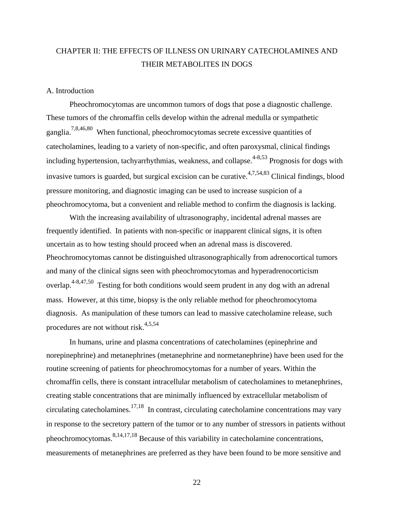# CHAPTER II: THE EFFECTS OF ILLNESS ON URINARY CATECHOLAMINES AND THEIR METABOLITES IN DOGS

## A. Introduction

Pheochromocytomas are uncommon tumors of dogs that pose a diagnostic challenge. These tumors of the chromaffin cells develop within the adrenal medulla or sympathetic ganglia.<sup>7,8,46,80</sup> When functional, pheochromocytomas secrete excessive quantities of catecholamines, leading to a variety of non-specific, and often paroxysmal, clinical findings including hypertension, tachyarrhythmias, weakness, and collapse.<sup>4-8,53</sup> Prognosis for dogs with invasive tumors is guarded, but surgical excision can be curative.<sup>4,7,54,83</sup> Clinical findings, blood pressure monitoring, and diagnostic imaging can be used to increase suspicion of a pheochromocytoma, but a convenient and reliable method to confirm the diagnosis is lacking.

With the increasing availability of ultrasonography, incidental adrenal masses are frequently identified. In patients with non-specific or inapparent clinical signs, it is often uncertain as to how testing should proceed when an adrenal mass is discovered. Pheochromocytomas cannot be distinguished ultrasonographically from adrenocortical tumors and many of the clinical signs seen with pheochromocytomas and hyperadrenocorticism overlap.<sup>4-8,47,50</sup> Testing for both conditions would seem prudent in any dog with an adrenal mass. However, at this time, biopsy is the only reliable method for pheochromocytoma diagnosis. As manipulation of these tumors can lead to massive catecholamine release, such procedures are not without risk. $4,5,54$ 

In humans, urine and plasma concentrations of catecholamines (epinephrine and norepinephrine) and metanephrines (metanephrine and normetanephrine) have been used for the routine screening of patients for pheochromocytomas for a number of years. Within the chromaffin cells, there is constant intracellular metabolism of catecholamines to metanephrines, creating stable concentrations that are minimally influenced by extracellular metabolism of circulating catecholamines. $17,18$  In contrast, circulating catecholamine concentrations may vary in response to the secretory pattern of the tumor or to any number of stressors in patients without pheochromocytomas.<sup>8,14,17,18</sup> Because of this variability in cate cholamine concentrations, measurements of metanephrines are preferred as they have been found to be more sensitive and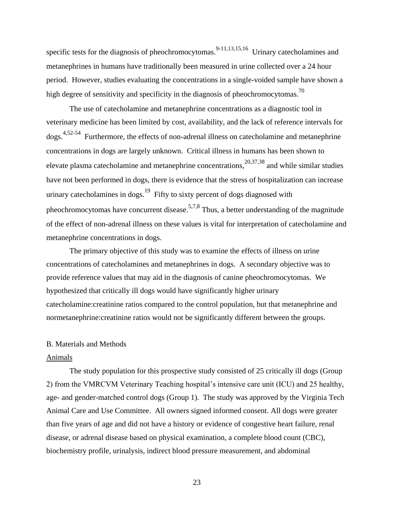specific tests for the diagnosis of pheochromocytomas.<sup>9-11,13,15,16</sup> Urinary catecholamines and metanephrines in humans have traditionally been measured in urine collected over a 24 hour period. However, studies evaluating the concentrations in a single-voided sample have shown a high degree of sensitivity and specificity in the diagnosis of pheochromocytomas.<sup>70</sup>

The use of catecholamine and metanephrine concentrations as a diagnostic tool in veterinary medicine has been limited by cost, availability, and the lack of reference intervals for dogs.<sup>4,52-54</sup> Furthermore, the effects of non-adrenal illness on catecholamine and metanephrine concentrations in dogs are largely unknown. Critical illness in humans has been shown to elevate plasma catecholamine and metanephrine concentrations,  $20,37,38$  and while similar studies have not been performed in dogs, there is evidence that the stress of hospitalization can increase urinary cate cholamines in dogs.<sup>19</sup> Fifty to sixty percent of dogs diagnosed with pheochromocytomas have concurrent disease.<sup>5,7,8</sup> Thus, a better understanding of the magnitude of the effect of non-adrenal illness on these values is vital for interpretation of catecholamine and metanephrine concentrations in dogs.

The primary objective of this study was to examine the effects of illness on urine concentrations of catecholamines and metanephrines in dogs. A secondary objective was to provide reference values that may aid in the diagnosis of canine pheochromocytomas. We hypothesized that critically ill dogs would have significantly higher urinary catecholamine:creatinine ratios compared to the control population, but that metanephrine and normetanephrine:creatinine ratios would not be significantly different between the groups.

## B. Materials and Methods

#### Animals

The study population for this prospective study consisted of 25 critically ill dogs (Group 2) from the VMRCVM Veterinary Teaching hospital's intensive care unit (ICU) and 25 healthy, age- and gender-matched control dogs (Group 1). The study was approved by the Virginia Tech Animal Care and Use Committee. All owners signed informed consent. All dogs were greater than five years of age and did not have a history or evidence of congestive heart failure, renal disease, or adrenal disease based on physical examination, a complete blood count (CBC), biochemistry profile, urinalysis, indirect blood pressure measurement, and abdominal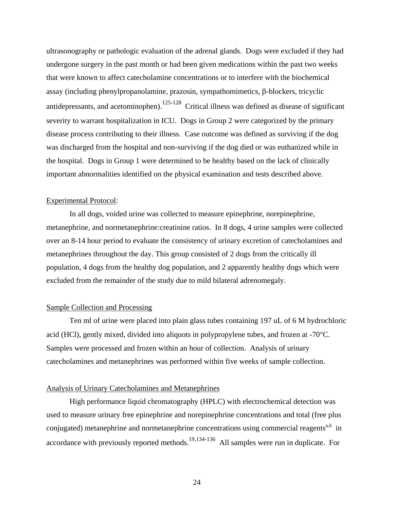ultrasonography or pathologic evaluation of the adrenal glands. Dogs were excluded if they had undergone surgery in the past month or had been given medications within the past two weeks that were known to affect catecholamine concentrations or to interfere with the biochemical  $\alpha$ ssay (including phenylpropanolamine, prazosin, sympathomimetics,  $\beta$ -blockers, tricyclic antidepressants, and acetominophen).  $125-128$  Critical illness was defined as disease of significant severity to warrant hospitalization in ICU. Dogs in Group 2 were categorized by the primary disease process contributing to their illness. Case outcome was defined as surviving if the dog was discharged from the hospital and non-surviving if the dog died or was euthanized while in the hospital. Dogs in Group 1 were determined to be healthy based on the lack of clinically important abnormalities identified on the physical examination and tests described above.

#### Experimental Protocol:

In all dogs, voided urine was collected to measure epinephrine, norepinephrine, metanephrine, and normetanephrine:creatinine ratios. In 8 dogs, 4 urine samples were collected over an 8-14 hour period to evaluate the consistency of urinary excretion of catecholamines and metanephrines throughout the day. This group consisted of 2 dogs from the critically ill population, 4 dogs from the healthy dog population, and 2 apparently healthy dogs which were excluded from the remainder of the study due to mild bilateral adrenomegaly.

## Sample Collection and Processing

Ten ml of urine were placed into plain glass tubes containing 197 uL of 6 M hydrochloric acid (HCl), gently mixed, divided into aliquots in polypropylene tubes, and frozen at  $-70^{\circ}$ C. Samples were processed and frozen within an hour of collection. Analysis of urinary catecholamines and metanephrines was performed within five weeks of sample collection.

## Analysis of Urinary Catecholamines and Metanephrines

High performance liquid chromatography (HPLC) with electrochemical detection was used to measure urinary free epinephrine and norepinephrine concentrations and total (free plus conjugated) metanephrine and normetanephrine concentrations using commercial reagents<sup>a,b</sup> in accordance with previously reported methods.<sup>19,134-136</sup> All samples were run in duplicate. For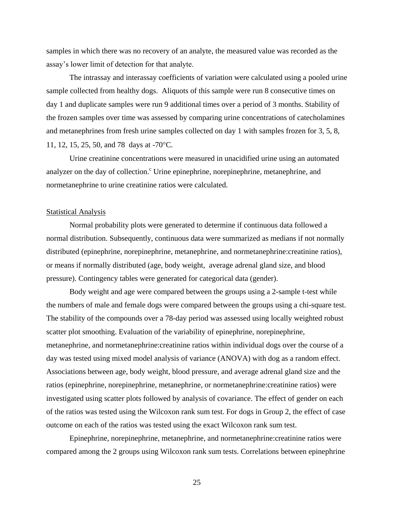samples in which there was no recovery of an analyte, the measured value was recorded as the assay's lower limit of detection for that analyte.

The intrassay and interassay coefficients of variation were calculated using a pooled urine sample collected from healthy dogs. Aliquots of this sample were run 8 consecutive times on day 1 and duplicate samples were run 9 additional times over a period of 3 months. Stability of the frozen samples over time was assessed by comparing urine concentrations of catecholamines and metanephrines from fresh urine samples collected on day 1 with samples frozen for 3, 5, 8, 11, 12, 15, 25, 50, and 78 days at -70°C.

Urine creatinine concentrations were measured in unacidified urine using an automated analyzer on the day of collection.<sup>c</sup> Urine epinephrine, norepinephrine, metanephrine, and normetanephrine to urine creatinine ratios were calculated.

#### Statistical Analysis

Normal probability plots were generated to determine if continuous data followed a normal distribution. Subsequently, continuous data were summarized as medians if not normally distributed (epinephrine, norepinephrine, metanephrine, and normetanephrine:creatinine ratios), or means if normally distributed (age, body weight, average adrenal gland size, and blood pressure). Contingency tables were generated for categorical data (gender).

Body weight and age were compared between the groups using a 2-sample t-test while the numbers of male and female dogs were compared between the groups using a chi-square test. The stability of the compounds over a 78-day period was assessed using locally weighted robust scatter plot smoothing. Evaluation of the variability of epinephrine, norepinephrine, metanephrine, and normetanephrine:creatinine ratios within individual dogs over the course of a day was tested using mixed model analysis of variance (ANOVA) with dog as a random effect. Associations between age, body weight, blood pressure, and average adrenal gland size and the ratios (epinephrine, norepinephrine, metanephrine, or normetanephrine:creatinine ratios) were investigated using scatter plots followed by analysis of covariance. The effect of gender on each of the ratios was tested using the Wilcoxon rank sum test. For dogs in Group 2, the effect of case outcome on each of the ratios was tested using the exact Wilcoxon rank sum test.

Epinephrine, norepinephrine, metanephrine, and normetanephrine:creatinine ratios were compared among the 2 groups using Wilcoxon rank sum tests. Correlations between epinephrine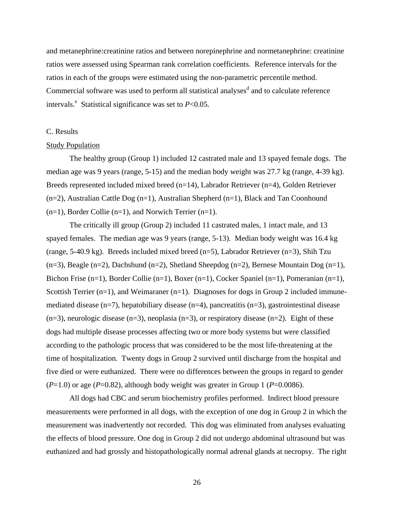and metanephrine:creatinine ratios and between norepinephrine and normetanephrine: creatinine ratios were assessed using Spearman rank correlation coefficients. Reference intervals for the ratios in each of the groups were estimated using the non-parametric percentile method. Commercial software was used to perform all statistical analyses<sup>d</sup> and to calculate reference intervals.<sup>e</sup> Statistical significance was set to  $P<0.05$ .

#### C. Results

#### **Study Population**

The healthy group (Group 1) included 12 castrated male and 13 spayed female dogs. The median age was 9 years (range, 5-15) and the median body weight was 27.7 kg (range, 4-39 kg). Breeds represented included mixed breed (n=14), Labrador Retriever (n=4), Golden Retriever (n=2), Australian Cattle Dog (n=1), Australian Shepherd (n=1), Black and Tan Coonhound  $(n=1)$ , Border Collie  $(n=1)$ , and Norwich Terrier  $(n=1)$ .

The critically ill group (Group 2) included 11 castrated males, 1 intact male, and 13 spayed females. The median age was 9 years (range, 5-13). Median body weight was 16.4 kg (range, 5-40.9 kg). Breeds included mixed breed (n=5), Labrador Retriever (n=3), Shih Tzu (n=3), Beagle (n=2), Dachshund (n=2), Shetland Sheepdog (n=2), Bernese Mountain Dog (n=1), Bichon Frise (n=1), Border Collie (n=1), Boxer (n=1), Cocker Spaniel (n=1), Pomeranian (n=1), Scottish Terrier (n=1), and Weimaraner (n=1). Diagnoses for dogs in Group 2 included immunemediated disease  $(n=7)$ , hepatobiliary disease  $(n=4)$ , pancreatitis  $(n=3)$ , gastrointestinal disease  $(n=3)$ , neurologic disease  $(n=3)$ , neoplasia  $(n=3)$ , or respiratory disease  $(n=2)$ . Eight of these dogs had multiple disease processes affecting two or more body systems but were classified according to the pathologic process that was considered to be the most life-threatening at the time of hospitalization. Twenty dogs in Group 2 survived until discharge from the hospital and five died or were euthanized. There were no differences between the groups in regard to gender  $(P=1.0)$  or age  $(P=0.82)$ , although body weight was greater in Group 1 ( $P=0.0086$ ).

All dogs had CBC and serum biochemistry profiles performed. Indirect blood pressure measurements were performed in all dogs, with the exception of one dog in Group 2 in which the measurement was inadvertently not recorded. This dog was eliminated from analyses evaluating the effects of blood pressure. One dog in Group 2 did not undergo abdominal ultrasound but was euthanized and had grossly and histopathologically normal adrenal glands at necropsy. The right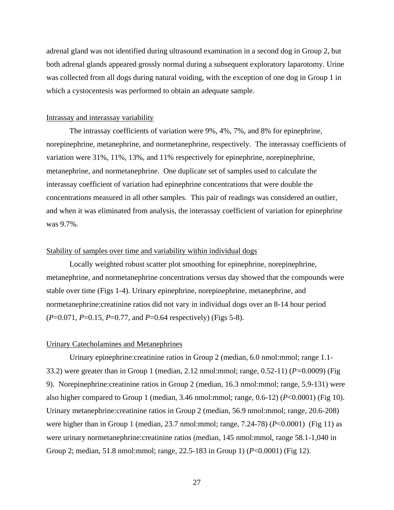adrenal gland was not identified during ultrasound examination in a second dog in Group 2, but both adrenal glands appeared grossly normal during a subsequent exploratory laparotomy. Urine was collected from all dogs during natural voiding, with the exception of one dog in Group 1 in which a cystocentesis was performed to obtain an adequate sample.

#### Intrassay and interassay variability

The intrassay coefficients of variation were 9%, 4%, 7%, and 8% for epinephrine, norepinephrine, metanephrine, and normetanephrine, respectively. The interassay coefficients of variation were 31%, 11%, 13%, and 11% respectively for epinephrine, norepinephrine, metanephrine, and normetanephrine. One duplicate set of samples used to calculate the interassay coefficient of variation had epinephrine concentrations that were double the concentrations measured in all other samples. This pair of readings was considered an outlier, and when it was eliminated from analysis, the interassay coefficient of variation for epinephrine was 9.7%.

## Stability of samples over time and variability within individual dogs

Locally weighted robust scatter plot smoothing for epinephrine, norepinephrine, metanephrine, and normetanephrine concentrations versus day showed that the compounds were stable over time (Figs 1-4). Urinary epinephrine, norepinephrine, metanephrine, and normetanephrine:creatinine ratios did not vary in individual dogs over an 8-14 hour period (*P*=0.071, *P*=0.15, *P*=0.77, and *P*=0.64 respectively) (Figs 5-8).

## Urinary Catecholamines and Metanephrines

Urinary epinephrine:creatinine ratios in Group 2 (median, 6.0 nmol:mmol; range 1.1- 33.2) were greater than in Group 1 (median, 2.12 nmol:mmol; range, 0.52-11) (*P=*0.0009) (Fig 9). Norepinephrine:creatinine ratios in Group 2 (median, 16.3 nmol:mmol; range, 5.9-131) were also higher compared to Group 1 (median, 3.46 nmol:mmol; range, 0.6-12) (*P*<0.0001) (Fig 10). Urinary metanephrine:creatinine ratios in Group 2 (median, 56.9 nmol:mmol; range, 20.6-208) were higher than in Group 1 (median, 23.7 nmol:mmol; range, 7.24-78) (*P*<0.0001) (Fig 11) as were urinary normetanephrine:creatinine ratios (median, 145 nmol:mmol, range 58.1-1,040 in Group 2; median, 51.8 nmol:mmol; range, 22.5-183 in Group 1) (*P*<0.0001) (Fig 12).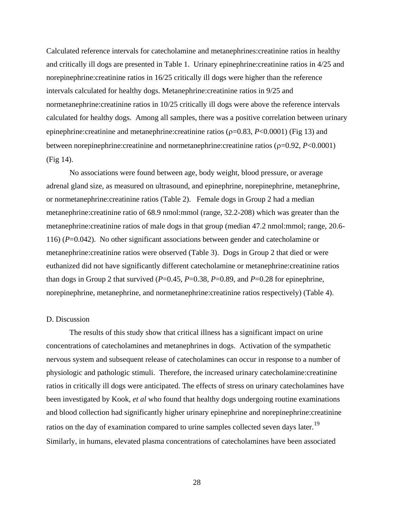Calculated reference intervals for catecholamine and metanephrines:creatinine ratios in healthy and critically ill dogs are presented in Table 1. Urinary epinephrine:creatinine ratios in 4/25 and norepinephrine:creatinine ratios in 16/25 critically ill dogs were higher than the reference intervals calculated for healthy dogs. Metanephrine:creatinine ratios in 9/25 and normetanephrine:creatinine ratios in 10/25 critically ill dogs were above the reference intervals calculated for healthy dogs. Among all samples, there was a positive correlation between urinary epinephrine: creatinine and metanephrine: creatinine ratios ( $\rho$ =0.83, *P*<0.0001) (Fig 13) and between norepinephrine:creatinine and normetanephrine:creatinine ratios ( $\rho$ =0.92, *P*<0.0001) (Fig 14).

No associations were found between age, body weight, blood pressure, or average adrenal gland size, as measured on ultrasound, and epinephrine, norepinephrine, metanephrine, or normetanephrine:creatinine ratios (Table 2). Female dogs in Group 2 had a median metanephrine:creatinine ratio of 68.9 nmol:mmol (range, 32.2-208) which was greater than the metanephrine:creatinine ratios of male dogs in that group (median 47.2 nmol:mmol; range, 20.6- 116) (*P*=0.042). No other significant associations between gender and catecholamine or metanephrine:creatinine ratios were observed (Table 3). Dogs in Group 2 that died or were euthanized did not have significantly different catecholamine or metanephrine:creatinine ratios than dogs in Group 2 that survived ( $P=0.45$ ,  $P=0.38$ ,  $P=0.89$ , and  $P=0.28$  for epinephrine, norepinephrine, metanephrine, and normetanephrine:creatinine ratios respectively) (Table 4).

#### D. Discussion

The results of this study show that critical illness has a significant impact on urine concentrations of catecholamines and metanephrines in dogs. Activation of the sympathetic nervous system and subsequent release of catecholamines can occur in response to a number of physiologic and pathologic stimuli. Therefore, the increased urinary catecholamine:creatinine ratios in critically ill dogs were anticipated. The effects of stress on urinary catecholamines have been investigated by Kook, *et al* who found that healthy dogs undergoing routine examinations and blood collection had significantly higher urinary epinephrine and norepinephrine:creatinine ratios on the day of examination compared to urine samples collected seven days later.<sup>19</sup> Similarly, in humans, elevated plasma concentrations of catecholamines have been associated

28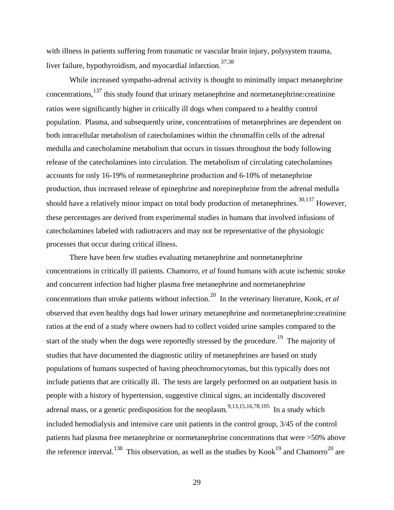with illness in patients suffering from traumatic or vascular brain injury, polysystem trauma, liver failure, hypothyroidism, and myocardial infarction. $37,38$ 

While increased sympatho-adrenal activity is thought to minimally impact metanephrine concentrations,<sup>137</sup> this study found that urinary metanephrine and normetanephrine:creatinine ratios were significantly higher in critically ill dogs when compared to a healthy control population. Plasma, and subsequently urine, concentrations of metanephrines are dependent on both intracellular metabolism of catecholamines within the chromaffin cells of the adrenal medulla and catecholamine metabolism that occurs in tissues throughout the body following release of the catecholamines into circulation. The metabolism of circulating catecholamines accounts for only 16-19% of normetanephrine production and 6-10% of metanephrine production, thus increased release of epinephrine and norepinephrine from the adrenal medulla should have a relatively minor impact on total body production of metanephrines.<sup>30,137</sup> However, these percentages are derived from experimental studies in humans that involved infusions of catecholamines labeled with radiotracers and may not be representative of the physiologic processes that occur during critical illness.

There have been few studies evaluating metanephrine and normetanephrine concentrations in critically ill patients. Chamorro, *et al* found humans with acute ischemic stroke and concurrent infection had higher plasma free metanephrine and normetanephrine concentrations than stroke patients without infection.<sup>20</sup> In the veterinary literature, Kook, *et al* observed that even healthy dogs had lower urinary metanephrine and normetanephrine:creatinine ratios at the end of a study where owners had to collect voided urine samples compared to the start of the study when the dogs were reportedly stressed by the procedure.<sup>19</sup> The majority of studies that have documented the diagnostic utility of metanephrines are based on study populations of humans suspected of having pheochromocytomas, but this typically does not include patients that are critically ill. The tests are largely performed on an outpatient basis in people with a history of hypertension, suggestive clinical signs, an incidentally discovered adrenal mass, or a genetic predisposition for the neoplasm.<sup>9,13,15,16,78,105</sup> In a study which included hemodialysis and intensive care unit patients in the control group, 3/45 of the control patients had plasma free metanephrine or normetanephrine concentrations that were >50% above the reference interval.<sup>138</sup> This observation, as well as the studies by Kook<sup>19</sup> and Chamorro<sup>20</sup> are

29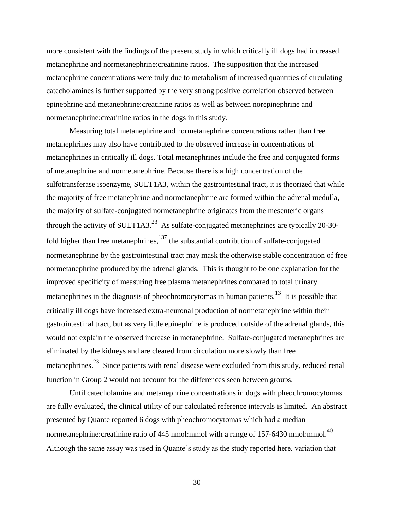more consistent with the findings of the present study in which critically ill dogs had increased metanephrine and normetanephrine:creatinine ratios. The supposition that the increased metanephrine concentrations were truly due to metabolism of increased quantities of circulating catecholamines is further supported by the very strong positive correlation observed between epinephrine and metanephrine:creatinine ratios as well as between norepinephrine and normetanephrine:creatinine ratios in the dogs in this study.

Measuring total metanephrine and normetanephrine concentrations rather than free metanephrines may also have contributed to the observed increase in concentrations of metanephrines in critically ill dogs. Total metanephrines include the free and conjugated forms of metanephrine and normetanephrine. Because there is a high concentration of the sulfotransferase isoenzyme, SULT1A3, within the gastrointestinal tract, it is theorized that while the majority of free metanephrine and normetanephrine are formed within the adrenal medulla, the majority of sulfate-conjugated normetanephrine originates from the mesenteric organs through the activity of SULT1A3.<sup>23</sup> As sulfate-conjugated metanephrines are typically 20-30fold higher than free metanephrines, $137$  the substantial contribution of sulfate-conjugated normetanephrine by the gastrointestinal tract may mask the otherwise stable concentration of free normetanephrine produced by the adrenal glands. This is thought to be one explanation for the improved specificity of measuring free plasma metanephrines compared to total urinary metanephrines in the diagnosis of pheochromocytomas in human patients.<sup>13</sup> It is possible that critically ill dogs have increased extra-neuronal production of normetanephrine within their gastrointestinal tract, but as very little epinephrine is produced outside of the adrenal glands, this would not explain the observed increase in metanephrine. Sulfate-conjugated metanephrines are eliminated by the kidneys and are cleared from circulation more slowly than free metanephrines.<sup>23</sup> Since patients with renal disease were excluded from this study, reduced renal function in Group 2 would not account for the differences seen between groups.

Until catecholamine and metanephrine concentrations in dogs with pheochromocytomas are fully evaluated, the clinical utility of our calculated reference intervals is limited. An abstract presented by Quante reported 6 dogs with pheochromocytomas which had a median normetanephrine: creatinine ratio of 445 nmol: mmol with a range of 157-6430 nmol: mmol.<sup>40</sup> Although the same assay was used in Quante's study as the study reported here, variation that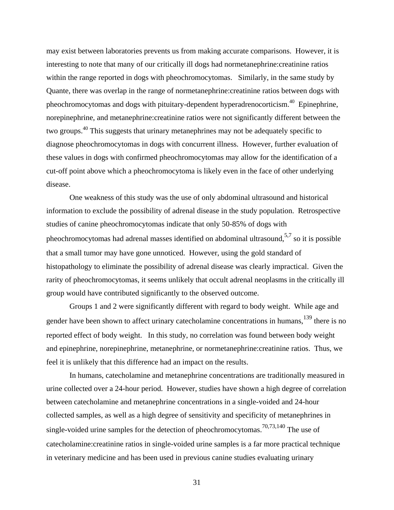may exist between laboratories prevents us from making accurate comparisons. However, it is interesting to note that many of our critically ill dogs had normetanephrine:creatinine ratios within the range reported in dogs with pheochromocytomas. Similarly, in the same study by Quante, there was overlap in the range of normetanephrine:creatinine ratios between dogs with pheochromocytomas and dogs with pituitary-dependent hyperadrenocorticism.<sup>40</sup> Epinephrine, norepinephrine, and metanephrine:creatinine ratios were not significantly different between the two groups.<sup>40</sup> This suggests that urinary metanephrines may not be adequately specific to diagnose pheochromocytomas in dogs with concurrent illness. However, further evaluation of these values in dogs with confirmed pheochromocytomas may allow for the identification of a cut-off point above which a pheochromocytoma is likely even in the face of other underlying disease.

One weakness of this study was the use of only abdominal ultrasound and historical information to exclude the possibility of adrenal disease in the study population. Retrospective studies of canine pheochromocytomas indicate that only 50-85% of dogs with pheochromocytomas had adrenal masses identified on abdominal ultrasound,  $5.7$  so it is possible that a small tumor may have gone unnoticed. However, using the gold standard of histopathology to eliminate the possibility of adrenal disease was clearly impractical. Given the rarity of pheochromocytomas, it seems unlikely that occult adrenal neoplasms in the critically ill group would have contributed significantly to the observed outcome.

Groups 1 and 2 were significantly different with regard to body weight. While age and gender have been shown to affect urinary catecholamine concentrations in humans,<sup>139</sup> there is no reported effect of body weight. In this study, no correlation was found between body weight and epinephrine, norepinephrine, metanephrine, or normetanephrine:creatinine ratios. Thus, we feel it is unlikely that this difference had an impact on the results.

In humans, catecholamine and metanephrine concentrations are traditionally measured in urine collected over a 24-hour period. However, studies have shown a high degree of correlation between catecholamine and metanephrine concentrations in a single-voided and 24-hour collected samples, as well as a high degree of sensitivity and specificity of metanephrines in single-voided urine samples for the detection of pheochromocytomas.<sup>70,73,140</sup> The use of catecholamine:creatinine ratios in single-voided urine samples is a far more practical technique in veterinary medicine and has been used in previous canine studies evaluating urinary

31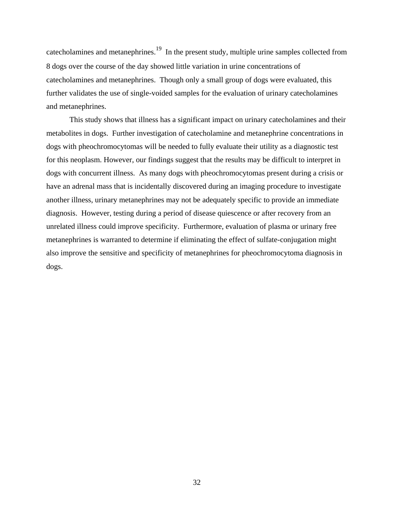catecholamines and metanephrines.<sup>19</sup> In the present study, multiple urine samples collected from 8 dogs over the course of the day showed little variation in urine concentrations of catecholamines and metanephrines. Though only a small group of dogs were evaluated, this further validates the use of single-voided samples for the evaluation of urinary catecholamines and metanephrines.

This study shows that illness has a significant impact on urinary catecholamines and their metabolites in dogs. Further investigation of catecholamine and metanephrine concentrations in dogs with pheochromocytomas will be needed to fully evaluate their utility as a diagnostic test for this neoplasm. However, our findings suggest that the results may be difficult to interpret in dogs with concurrent illness. As many dogs with pheochromocytomas present during a crisis or have an adrenal mass that is incidentally discovered during an imaging procedure to investigate another illness, urinary metanephrines may not be adequately specific to provide an immediate diagnosis. However, testing during a period of disease quiescence or after recovery from an unrelated illness could improve specificity. Furthermore, evaluation of plasma or urinary free metanephrines is warranted to determine if eliminating the effect of sulfate-conjugation might also improve the sensitive and specificity of metanephrines for pheochromocytoma diagnosis in dogs.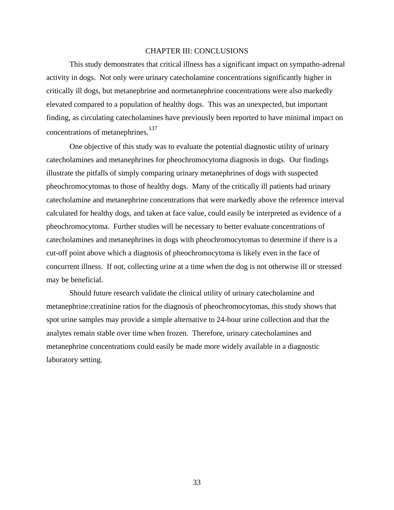### CHAPTER III: CONCLUSIONS

This study demonstrates that critical illness has a significant impact on sympatho-adrenal activity in dogs. Not only were urinary catecholamine concentrations significantly higher in critically ill dogs, but metanephrine and normetanephrine concentrations were also markedly elevated compared to a population of healthy dogs. This was an unexpected, but important finding, as circulating catecholamines have previously been reported to have minimal impact on concentrations of metanephrines.<sup>137</sup>

One objective of this study was to evaluate the potential diagnostic utility of urinary catecholamines and metanephrines for pheochromocytoma diagnosis in dogs. Our findings illustrate the pitfalls of simply comparing urinary metanephrines of dogs with suspected pheochromocytomas to those of healthy dogs. Many of the critically ill patients had urinary catecholamine and metanephrine concentrations that were markedly above the reference interval calculated for healthy dogs, and taken at face value, could easily be interpreted as evidence of a pheochromocytoma. Further studies will be necessary to better evaluate concentrations of catecholamines and metanephrines in dogs with pheochromocytomas to determine if there is a cut-off point above which a diagnosis of pheochromocytoma is likely even in the face of concurrent illness. If not, collecting urine at a time when the dog is not otherwise ill or stressed may be beneficial.

Should future research validate the clinical utility of urinary catecholamine and metanephrine:creatinine ratios for the diagnosis of pheochromocytomas, this study shows that spot urine samples may provide a simple alternative to 24-hour urine collection and that the analytes remain stable over time when frozen. Therefore, urinary catecholamines and metanephrine concentrations could easily be made more widely available in a diagnostic laboratory setting.

33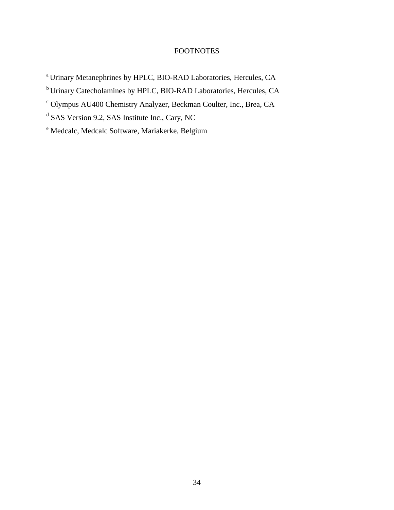# FOOTNOTES

- <sup>a</sup> Urinary Metanephrines by HPLC, BIO-RAD Laboratories, Hercules, CA
- <sup>b</sup> Urinary Catecholamines by HPLC, BIO-RAD Laboratories, Hercules, CA
- <sup>c</sup> Olympus AU400 Chemistry Analyzer, Beckman Coulter, Inc., Brea, CA
- <sup>d</sup> SAS Version 9.2, SAS Institute Inc., Cary, NC
- <sup>e</sup> Medcalc, Medcalc Software, Mariakerke, Belgium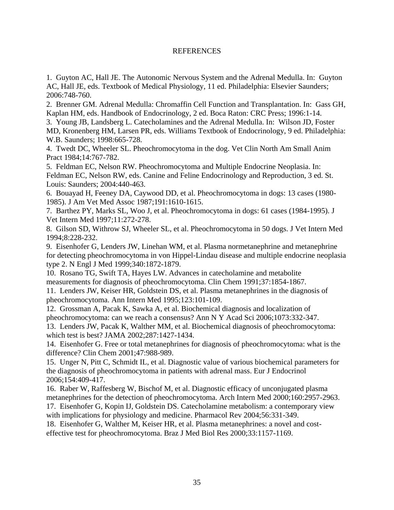## **REFERENCES**

1. Guyton AC, Hall JE. The Autonomic Nervous System and the Adrenal Medulla. In: Guyton AC, Hall JE, eds. Textbook of Medical Physiology, 11 ed. Philadelphia: Elsevier Saunders; 2006:748-760.

2. Brenner GM. Adrenal Medulla: Chromaffin Cell Function and Transplantation. In: Gass GH, Kaplan HM, eds. Handbook of Endocrinology, 2 ed. Boca Raton: CRC Press; 1996:1-14.

3. Young JB, Landsberg L. Catecholamines and the Adrenal Medulla. In: Wilson JD, Foster MD, Kronenberg HM, Larsen PR, eds. Williams Textbook of Endocrinology, 9 ed. Philadelphia: W.B. Saunders; 1998:665-728.

4. Twedt DC, Wheeler SL. Pheochromocytoma in the dog. Vet Clin North Am Small Anim Pract 1984;14:767-782.

5. Feldman EC, Nelson RW. Pheochromocytoma and Multiple Endocrine Neoplasia. In: Feldman EC, Nelson RW, eds. Canine and Feline Endocrinology and Reproduction, 3 ed. St. Louis: Saunders; 2004:440-463.

6. Bouayad H, Feeney DA, Caywood DD, et al. Pheochromocytoma in dogs: 13 cases (1980- 1985). J Am Vet Med Assoc 1987;191:1610-1615.

7. Barthez PY, Marks SL, Woo J, et al. Pheochromocytoma in dogs: 61 cases (1984-1995). J Vet Intern Med 1997;11:272-278.

8. Gilson SD, Withrow SJ, Wheeler SL, et al. Pheochromocytoma in 50 dogs. J Vet Intern Med 1994;8:228-232.

9. Eisenhofer G, Lenders JW, Linehan WM, et al. Plasma normetanephrine and metanephrine for detecting pheochromocytoma in von Hippel-Lindau disease and multiple endocrine neoplasia type 2. N Engl J Med 1999;340:1872-1879.

10. Rosano TG, Swift TA, Hayes LW. Advances in catecholamine and metabolite measurements for diagnosis of pheochromocytoma. Clin Chem 1991;37:1854-1867.

11. Lenders JW, Keiser HR, Goldstein DS, et al. Plasma metanephrines in the diagnosis of pheochromocytoma. Ann Intern Med 1995;123:101-109.

12. Grossman A, Pacak K, Sawka A, et al. Biochemical diagnosis and localization of pheochromocytoma: can we reach a consensus? Ann N Y Acad Sci 2006;1073:332-347.

13. Lenders JW, Pacak K, Walther MM, et al. Biochemical diagnosis of pheochromocytoma: which test is best? JAMA 2002;287:1427-1434.

14. Eisenhofer G. Free or total metanephrines for diagnosis of pheochromocytoma: what is the difference? Clin Chem 2001;47:988-989.

15. Unger N, Pitt C, Schmidt IL, et al. Diagnostic value of various biochemical parameters for the diagnosis of pheochromocytoma in patients with adrenal mass. Eur J Endocrinol 2006;154:409-417.

16. Raber W, Raffesberg W, Bischof M, et al. Diagnostic efficacy of unconjugated plasma metanephrines for the detection of pheochromocytoma. Arch Intern Med 2000;160:2957-2963.

17. Eisenhofer G, Kopin IJ, Goldstein DS. Catecholamine metabolism: a contemporary view with implications for physiology and medicine. Pharmacol Rev 2004;56:331-349.

18. Eisenhofer G, Walther M, Keiser HR, et al. Plasma metanephrines: a novel and costeffective test for pheochromocytoma. Braz J Med Biol Res 2000;33:1157-1169.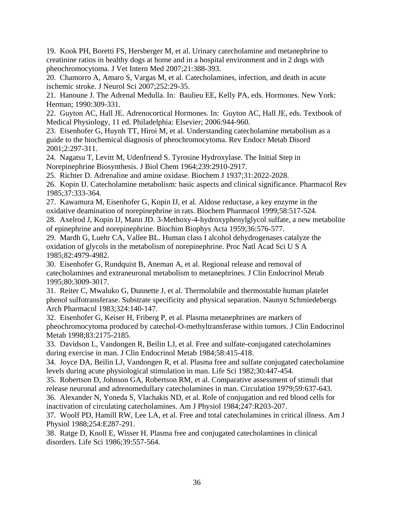19. Kook PH, Boretti FS, Hersberger M, et al. Urinary catecholamine and metanephrine to creatinine ratios in healthy dogs at home and in a hospital environment and in 2 dogs with pheochromocytoma. J Vet Intern Med 2007;21:388-393.

20. Chamorro A, Amaro S, Vargas M, et al. Catecholamines, infection, and death in acute ischemic stroke. J Neurol Sci 2007;252:29-35.

21. Hanoune J. The Adrenal Medulla. In: Baulieu EE, Kelly PA, eds. Hormones. New York: Herman; 1990:309-331.

22. Guyton AC, Hall JE. Adrenocortical Hormones. In: Guyton AC, Hall JE, eds. Textbook of Medical Physiology, 11 ed. Philadelphia: Elsevier; 2006:944-960.

23. Eisenhofer G, Huynh TT, Hiroi M, et al. Understanding catecholamine metabolism as a guide to the biochemical diagnosis of pheochromocytoma. Rev Endocr Metab Disord 2001;2:297-311.

24. Nagatsu T, Levitt M, Udenfriend S. Tyrosine Hydroxylase. The Initial Step in Norepinephrine Biosynthesis. J Biol Chem 1964;239:2910-2917.

25. Richter D. Adrenaline and amine oxidase. Biochem J 1937;31:2022-2028.

26. Kopin IJ. Catecholamine metabolism: basic aspects and clinical significance. Pharmacol Rev 1985;37:333-364.

27. Kawamura M, Eisenhofer G, Kopin IJ, et al. Aldose reductase, a key enzyme in the oxidative deamination of norepinephrine in rats. Biochem Pharmacol 1999;58:517-524.

28. Axelrod J, Kopin IJ, Mann JD. 3-Methoxy-4-hydroxyphenylglycol sulfate, a new metabolite of epinephrine and norepinephrine. Biochim Biophys Acta 1959;36:576-577.

29. Mardh G, Luehr CA, Vallee BL. Human class I alcohol dehydrogenases catalyze the oxidation of glycols in the metabolism of norepinephrine. Proc Natl Acad Sci U S A 1985;82:4979-4982.

30. Eisenhofer G, Rundquist B, Aneman A, et al. Regional release and removal of catecholamines and extraneuronal metabolism to metanephrines. J Clin Endocrinol Metab 1995;80:3009-3017.

31. Reiter C, Mwaluko G, Dunnette J, et al. Thermolabile and thermostable human platelet phenol sulfotransferase. Substrate specificity and physical separation. Naunyn Schmiedebergs Arch Pharmacol 1983;324:140-147.

32. Eisenhofer G, Keiser H, Friberg P, et al. Plasma metanephrines are markers of pheochromocytoma produced by catechol-O-methyltransferase within tumors. J Clin Endocrinol Metab 1998;83:2175-2185.

33. Davidson L, Vandongen R, Beilin LJ, et al. Free and sulfate-conjugated catecholamines during exercise in man. J Clin Endocrinol Metab 1984;58:415-418.

34. Joyce DA, Beilin LJ, Vandongen R, et al. Plasma free and sulfate conjugated catecholamine levels during acute physiological stimulation in man. Life Sci 1982;30:447-454.

35. Robertson D, Johnson GA, Robertson RM, et al. Comparative assessment of stimuli that release neuronal and adrenomedullary catecholamines in man. Circulation 1979;59:637-643.

36. Alexander N, Yoneda S, Vlachakis ND, et al. Role of conjugation and red blood cells for inactivation of circulating catecholamines. Am J Physiol 1984;247:R203-207.

37. Woolf PD, Hamill RW, Lee LA, et al. Free and total catecholamines in critical illness. Am J Physiol 1988;254:E287-291.

38. Ratge D, Knoll E, Wisser H. Plasma free and conjugated catecholamines in clinical disorders. Life Sci 1986;39:557-564.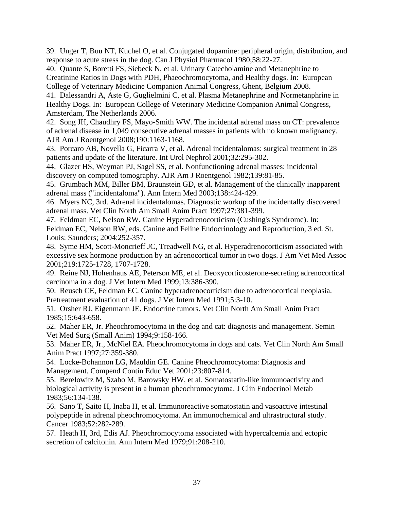39. Unger T, Buu NT, Kuchel O, et al. Conjugated dopamine: peripheral origin, distribution, and response to acute stress in the dog. Can J Physiol Pharmacol 1980;58:22-27.

40. Quante S, Boretti FS, Siebeck N, et al. Urinary Catecholamine and Metanephrine to Creatinine Ratios in Dogs with PDH, Phaeochromocytoma, and Healthy dogs. In: European College of Veterinary Medicine Companion Animal Congress, Ghent, Belgium 2008.

41. Dalessandri A, Aste G, Guglielmini C, et al. Plasma Metanephrine and Normetanphrine in Healthy Dogs. In: European College of Veterinary Medicine Companion Animal Congress, Amsterdam, The Netherlands 2006.

42. Song JH, Chaudhry FS, Mayo-Smith WW. The incidental adrenal mass on CT: prevalence of adrenal disease in 1,049 consecutive adrenal masses in patients with no known malignancy. AJR Am J Roentgenol 2008;190:1163-1168.

43. Porcaro AB, Novella G, Ficarra V, et al. Adrenal incidentalomas: surgical treatment in 28 patients and update of the literature. Int Urol Nephrol 2001;32:295-302.

44. Glazer HS, Weyman PJ, Sagel SS, et al. Nonfunctioning adrenal masses: incidental discovery on computed tomography. AJR Am J Roentgenol 1982;139:81-85.

45. Grumbach MM, Biller BM, Braunstein GD, et al. Management of the clinically inapparent adrenal mass ("incidentaloma"). Ann Intern Med 2003;138:424-429.

46. Myers NC, 3rd. Adrenal incidentalomas. Diagnostic workup of the incidentally discovered adrenal mass. Vet Clin North Am Small Anim Pract 1997;27:381-399.

47. Feldman EC, Nelson RW. Canine Hyperadrenocorticism (Cushing's Syndrome). In: Feldman EC, Nelson RW, eds. Canine and Feline Endocrinology and Reproduction, 3 ed. St. Louis: Saunders; 2004:252-357.

48. Syme HM, Scott-Moncrieff JC, Treadwell NG, et al. Hyperadrenocorticism associated with excessive sex hormone production by an adrenocortical tumor in two dogs. J Am Vet Med Assoc 2001;219:1725-1728, 1707-1728.

49. Reine NJ, Hohenhaus AE, Peterson ME, et al. Deoxycorticosterone-secreting adrenocortical carcinoma in a dog. J Vet Intern Med 1999;13:386-390.

50. Reusch CE, Feldman EC. Canine hyperadrenocorticism due to adrenocortical neoplasia. Pretreatment evaluation of 41 dogs. J Vet Intern Med 1991;5:3-10.

51. Orsher RJ, Eigenmann JE. Endocrine tumors. Vet Clin North Am Small Anim Pract 1985;15:643-658.

52. Maher ER, Jr. Pheochromocytoma in the dog and cat: diagnosis and management. Semin Vet Med Surg (Small Anim) 1994;9:158-166.

53. Maher ER, Jr., McNiel EA. Pheochromocytoma in dogs and cats. Vet Clin North Am Small Anim Pract 1997;27:359-380.

54. Locke-Bohannon LG, Mauldin GE. Canine Pheochromocytoma: Diagnosis and Management. Compend Contin Educ Vet 2001;23:807-814.

55. Berelowitz M, Szabo M, Barowsky HW, et al. Somatostatin-like immunoactivity and biological activity is present in a human pheochromocytoma. J Clin Endocrinol Metab 1983;56:134-138.

56. Sano T, Saito H, Inaba H, et al. Immunoreactive somatostatin and vasoactive intestinal polypeptide in adrenal pheochromocytoma. An immunochemical and ultrastructural study. Cancer 1983;52:282-289.

57. Heath H, 3rd, Edis AJ. Pheochromocytoma associated with hypercalcemia and ectopic secretion of calcitonin. Ann Intern Med 1979;91:208-210.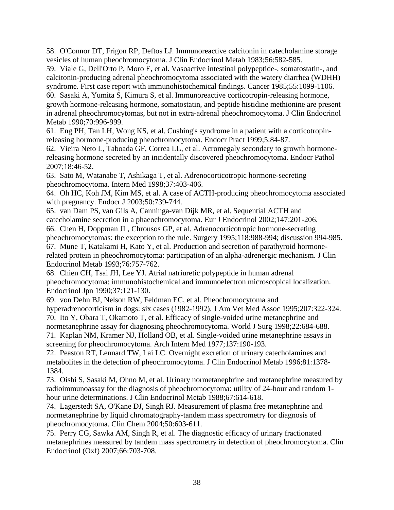58. O'Connor DT, Frigon RP, Deftos LJ. Immunoreactive calcitonin in catecholamine storage vesicles of human pheochromocytoma. J Clin Endocrinol Metab 1983;56:582-585.

59. Viale G, Dell'Orto P, Moro E, et al. Vasoactive intestinal polypeptide-, somatostatin-, and calcitonin-producing adrenal pheochromocytoma associated with the watery diarrhea (WDHH) syndrome. First case report with immunohistochemical findings. Cancer 1985;55:1099-1106.

60. Sasaki A, Yumita S, Kimura S, et al. Immunoreactive corticotropin-releasing hormone, growth hormone-releasing hormone, somatostatin, and peptide histidine methionine are present in adrenal pheochromocytomas, but not in extra-adrenal pheochromocytoma. J Clin Endocrinol Metab 1990;70:996-999.

61. Eng PH, Tan LH, Wong KS, et al. Cushing's syndrome in a patient with a corticotropinreleasing hormone-producing pheochromocytoma. Endocr Pract 1999;5:84-87.

62. Vieira Neto L, Taboada GF, Correa LL, et al. Acromegaly secondary to growth hormonereleasing hormone secreted by an incidentally discovered pheochromocytoma. Endocr Pathol 2007;18:46-52.

63. Sato M, Watanabe T, Ashikaga T, et al. Adrenocorticotropic hormone-secreting pheochromocytoma. Intern Med 1998;37:403-406.

64. Oh HC, Koh JM, Kim MS, et al. A case of ACTH-producing pheochromocytoma associated with pregnancy. Endocr J 2003;50:739-744.

65. van Dam PS, van Gils A, Canninga-van Dijk MR, et al. Sequential ACTH and catecholamine secretion in a phaeochromocytoma. Eur J Endocrinol 2002;147:201-206. 66. Chen H, Doppman JL, Chrousos GP, et al. Adrenocorticotropic hormone-secreting

pheochromocytomas: the exception to the rule. Surgery 1995;118:988-994; discussion 994-985.

67. Mune T, Katakami H, Kato Y, et al. Production and secretion of parathyroid hormonerelated protein in pheochromocytoma: participation of an alpha-adrenergic mechanism. J Clin Endocrinol Metab 1993;76:757-762.

68. Chien CH, Tsai JH, Lee YJ. Atrial natriuretic polypeptide in human adrenal pheochromocytoma: immunohistochemical and immunoelectron microscopical localization. Endocrinol Jpn 1990;37:121-130.

69. von Dehn BJ, Nelson RW, Feldman EC, et al. Pheochromocytoma and

hyperadrenocorticism in dogs: six cases (1982-1992). J Am Vet Med Assoc 1995;207:322-324. 70. Ito Y, Obara T, Okamoto T, et al. Efficacy of single-voided urine metanephrine and

normetanephrine assay for diagnosing pheochromocytoma. World J Surg 1998;22:684-688. 71. Kaplan NM, Kramer NJ, Holland OB, et al. Single-voided urine metanephrine assays in screening for pheochromocytoma. Arch Intern Med 1977;137:190-193.

72. Peaston RT, Lennard TW, Lai LC. Overnight excretion of urinary catecholamines and metabolites in the detection of pheochromocytoma. J Clin Endocrinol Metab 1996;81:1378- 1384.

73. Oishi S, Sasaki M, Ohno M, et al. Urinary normetanephrine and metanephrine measured by radioimmunoassay for the diagnosis of pheochromocytoma: utility of 24-hour and random 1 hour urine determinations. J Clin Endocrinol Metab 1988;67:614-618.

74. Lagerstedt SA, O'Kane DJ, Singh RJ. Measurement of plasma free metanephrine and normetanephrine by liquid chromatography-tandem mass spectrometry for diagnosis of pheochromocytoma. Clin Chem 2004;50:603-611.

75. Perry CG, Sawka AM, Singh R, et al. The diagnostic efficacy of urinary fractionated metanephrines measured by tandem mass spectrometry in detection of pheochromocytoma. Clin Endocrinol (Oxf) 2007;66:703-708.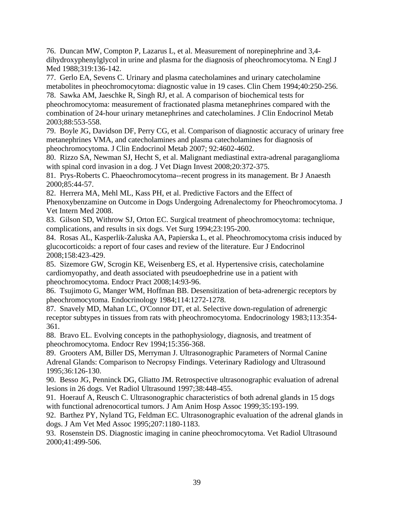76. Duncan MW, Compton P, Lazarus L, et al. Measurement of norepinephrine and 3,4 dihydroxyphenylglycol in urine and plasma for the diagnosis of pheochromocytoma. N Engl J Med 1988;319:136-142.

77. Gerlo EA, Sevens C. Urinary and plasma catecholamines and urinary catecholamine metabolites in pheochromocytoma: diagnostic value in 19 cases. Clin Chem 1994;40:250-256.

78. Sawka AM, Jaeschke R, Singh RJ, et al. A comparison of biochemical tests for pheochromocytoma: measurement of fractionated plasma metanephrines compared with the combination of 24-hour urinary metanephrines and catecholamines. J Clin Endocrinol Metab 2003;88:553-558.

79. Boyle JG, Davidson DF, Perry CG, et al. Comparison of diagnostic accuracy of urinary free metanephrines VMA, and catecholamines and plasma catecholamines for diagnosis of pheochromocytoma. J Clin Endocrinol Metab 2007; 92:4602-4602.

80. Rizzo SA, Newman SJ, Hecht S, et al. Malignant mediastinal extra-adrenal paraganglioma with spinal cord invasion in a dog. J Vet Diagn Invest 2008;20:372-375.

81. Prys-Roberts C. Phaeochromocytoma--recent progress in its management. Br J Anaesth 2000;85:44-57.

82. Herrera MA, Mehl ML, Kass PH, et al. Predictive Factors and the Effect of

Phenoxybenzamine on Outcome in Dogs Undergoing Adrenalectomy for Pheochromocytoma. J Vet Intern Med 2008.

83. Gilson SD, Withrow SJ, Orton EC. Surgical treatment of pheochromocytoma: technique, complications, and results in six dogs. Vet Surg 1994;23:195-200.

84. Rosas AL, Kasperlik-Zaluska AA, Papierska L, et al. Pheochromocytoma crisis induced by glucocorticoids: a report of four cases and review of the literature. Eur J Endocrinol 2008;158:423-429.

85. Sizemore GW, Scrogin KE, Weisenberg ES, et al. Hypertensive crisis, catecholamine cardiomyopathy, and death associated with pseudoephedrine use in a patient with pheochromocytoma. Endocr Pract 2008;14:93-96.

86. Tsujimoto G, Manger WM, Hoffman BB. Desensitization of beta-adrenergic receptors by pheochromocytoma. Endocrinology 1984;114:1272-1278.

87. Snavely MD, Mahan LC, O'Connor DT, et al. Selective down-regulation of adrenergic receptor subtypes in tissues from rats with pheochromocytoma. Endocrinology 1983;113:354- 361.

88. Bravo EL. Evolving concepts in the pathophysiology, diagnosis, and treatment of pheochromocytoma. Endocr Rev 1994;15:356-368.

89. Grooters AM, Biller DS, Merryman J. Ultrasonographic Parameters of Normal Canine Adrenal Glands: Comparison to Necropsy Findings. Veterinary Radiology and Ultrasound 1995;36:126-130.

90. Besso JG, Penninck DG, Gliatto JM. Retrospective ultrasonographic evaluation of adrenal lesions in 26 dogs. Vet Radiol Ultrasound 1997;38:448-455.

91. Hoerauf A, Reusch C. Ultrasonographic characteristics of both adrenal glands in 15 dogs with functional adrenocortical tumors. J Am Anim Hosp Assoc 1999;35:193-199.

92. Barthez PY, Nyland TG, Feldman EC. Ultrasonographic evaluation of the adrenal glands in dogs. J Am Vet Med Assoc 1995;207:1180-1183.

93. Rosenstein DS. Diagnostic imaging in canine pheochromocytoma. Vet Radiol Ultrasound 2000;41:499-506.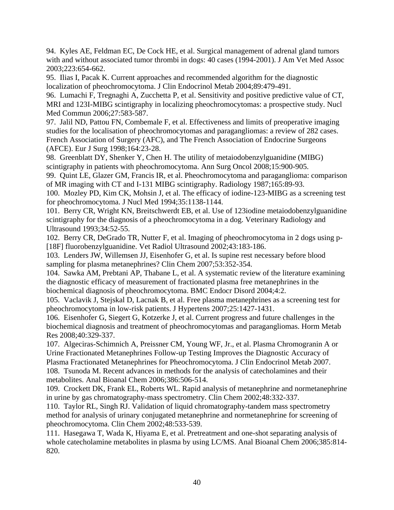94. Kyles AE, Feldman EC, De Cock HE, et al. Surgical management of adrenal gland tumors with and without associated tumor thrombi in dogs: 40 cases (1994-2001). J Am Vet Med Assoc 2003;223:654-662.

95. Ilias I, Pacak K. Current approaches and recommended algorithm for the diagnostic localization of pheochromocytoma. J Clin Endocrinol Metab 2004;89:479-491.

96. Lumachi F, Tregnaghi A, Zucchetta P, et al. Sensitivity and positive predictive value of CT, MRI and 123I-MIBG scintigraphy in localizing pheochromocytomas: a prospective study. Nucl Med Commun 2006;27:583-587.

97. Jalil ND, Pattou FN, Combemale F, et al. Effectiveness and limits of preoperative imaging studies for the localisation of pheochromocytomas and paragangliomas: a review of 282 cases. French Association of Surgery (AFC), and The French Association of Endocrine Surgeons (AFCE). Eur J Surg 1998;164:23-28.

98. Greenblatt DY, Shenker Y, Chen H. The utility of metaiodobenzylguanidine (MIBG) scintigraphy in patients with pheochromocytoma. Ann Surg Oncol 2008;15:900-905.

99. Quint LE, Glazer GM, Francis IR, et al. Pheochromocytoma and paraganglioma: comparison of MR imaging with CT and I-131 MIBG scintigraphy. Radiology 1987;165:89-93.

100. Mozley PD, Kim CK, Mohsin J, et al. The efficacy of iodine-123-MIBG as a screening test for pheochromocytoma. J Nucl Med 1994;35:1138-1144.

101. Berry CR, Wright KN, Breitschwerdt EB, et al. Use of 123iodine metaiodobenzylguanidine scintigraphy for the diagnosis of a pheochromocytoma in a dog. Veterinary Radiology and Ultrasound 1993;34:52-55.

102. Berry CR, DeGrado TR, Nutter F, et al. Imaging of pheochromocytoma in 2 dogs using p- [18F] fluorobenzylguanidine. Vet Radiol Ultrasound 2002;43:183-186.

103. Lenders JW, Willemsen JJ, Eisenhofer G, et al. Is supine rest necessary before blood sampling for plasma metanephrines? Clin Chem 2007;53:352-354.

104. Sawka AM, Prebtani AP, Thabane L, et al. A systematic review of the literature examining the diagnostic efficacy of measurement of fractionated plasma free metanephrines in the biochemical diagnosis of pheochromocytoma. BMC Endocr Disord 2004;4:2.

105. Vaclavik J, Stejskal D, Lacnak B, et al. Free plasma metanephrines as a screening test for pheochromocytoma in low-risk patients. J Hypertens 2007;25:1427-1431.

106. Eisenhofer G, Siegert G, Kotzerke J, et al. Current progress and future challenges in the biochemical diagnosis and treatment of pheochromocytomas and paragangliomas. Horm Metab Res 2008;40:329-337.

107. Algeciras-Schimnich A, Preissner CM, Young WF, Jr., et al. Plasma Chromogranin A or Urine Fractionated Metanephrines Follow-up Testing Improves the Diagnostic Accuracy of Plasma Fractionated Metanephrines for Pheochromocytoma. J Clin Endocrinol Metab 2007. 108. Tsunoda M. Recent advances in methods for the analysis of catecholamines and their metabolites. Anal Bioanal Chem 2006;386:506-514.

109. Crockett DK, Frank EL, Roberts WL. Rapid analysis of metanephrine and normetanephrine in urine by gas chromatography-mass spectrometry. Clin Chem 2002;48:332-337.

110. Taylor RL, Singh RJ. Validation of liquid chromatography-tandem mass spectrometry method for analysis of urinary conjugated metanephrine and normetanephrine for screening of pheochromocytoma. Clin Chem 2002;48:533-539.

111. Hasegawa T, Wada K, Hiyama E, et al. Pretreatment and one-shot separating analysis of whole catecholamine metabolites in plasma by using LC/MS. Anal Bioanal Chem 2006;385:814-820.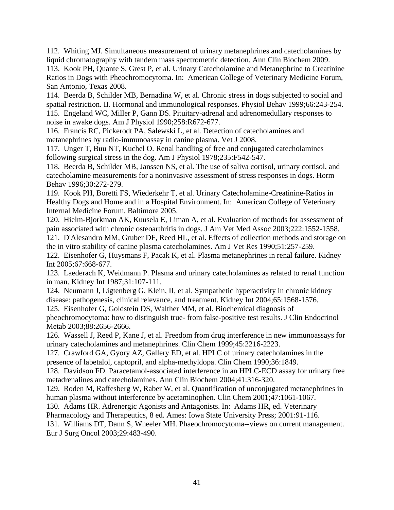112. Whiting MJ. Simultaneous measurement of urinary metanephrines and catecholamines by liquid chromatography with tandem mass spectrometric detection. Ann Clin Biochem 2009.

113. Kook PH, Quante S, Grest P, et al. Urinary Catecholamine and Metanephrine to Creatinine Ratios in Dogs with Pheochromocytoma. In: American College of Veterinary Medicine Forum, San Antonio, Texas 2008.

114. Beerda B, Schilder MB, Bernadina W, et al. Chronic stress in dogs subjected to social and spatial restriction. II. Hormonal and immunological responses. Physiol Behav 1999;66:243-254. 115. Engeland WC, Miller P, Gann DS. Pituitary-adrenal and adrenomedullary responses to noise in awake dogs. Am J Physiol 1990;258:R672-677.

116. Francis RC, Pickerodt PA, Salewski L, et al. Detection of catecholamines and metanephrines by radio-immunoassay in canine plasma. Vet J 2008.

117. Unger T, Buu NT, Kuchel O. Renal handling of free and conjugated catecholamines following surgical stress in the dog. Am J Physiol 1978;235:F542-547.

118. Beerda B, Schilder MB, Janssen NS, et al. The use of saliva cortisol, urinary cortisol, and catecholamine measurements for a noninvasive assessment of stress responses in dogs. Horm Behav 1996;30:272-279.

119. Kook PH, Boretti FS, Wiederkehr T, et al. Urinary Catecholamine-Creatinine-Ratios in Healthy Dogs and Home and in a Hospital Environment. In: American College of Veterinary Internal Medicine Forum, Baltimore 2005.

120. Hielm-Bjorkman AK, Kuusela E, Liman A, et al. Evaluation of methods for assessment of pain associated with chronic osteoarthritis in dogs. J Am Vet Med Assoc 2003;222:1552-1558.

121. D'Alesandro MM, Gruber DF, Reed HL, et al. Effects of collection methods and storage on the in vitro stability of canine plasma catecholamines. Am J Vet Res 1990;51:257-259.

122. Eisenhofer G, Huysmans F, Pacak K, et al. Plasma metanephrines in renal failure. Kidney Int 2005;67:668-677.

123. Laederach K, Weidmann P. Plasma and urinary catecholamines as related to renal function in man. Kidney Int 1987;31:107-111.

124. Neumann J, Ligtenberg G, Klein, II, et al. Sympathetic hyperactivity in chronic kidney disease: pathogenesis, clinical relevance, and treatment. Kidney Int 2004;65:1568-1576.

125. Eisenhofer G, Goldstein DS, Walther MM, et al. Biochemical diagnosis of

pheochromocytoma: how to distinguish true- from false-positive test results. J Clin Endocrinol Metab 2003;88:2656-2666.

126. Wassell J, Reed P, Kane J, et al. Freedom from drug interference in new immunoassays for urinary catecholamines and metanephrines. Clin Chem 1999;45:2216-2223.

127. Crawford GA, Gyory AZ, Gallery ED, et al. HPLC of urinary catecholamines in the presence of labetalol, captopril, and alpha-methyldopa. Clin Chem 1990;36:1849.

128. Davidson FD. Paracetamol-associated interference in an HPLC-ECD assay for urinary free metadrenalines and catecholamines. Ann Clin Biochem 2004;41:316-320.

129. Roden M, Raffesberg W, Raber W, et al. Quantification of unconjugated metanephrines in human plasma without interference by acetaminophen. Clin Chem 2001;47:1061-1067.

130. Adams HR. Adrenergic Agonists and Antagonists. In: Adams HR, ed. Veterinary

Pharmacology and Therapeutics, 8 ed. Ames: Iowa State University Press; 2001:91-116.

131. Williams DT, Dann S, Wheeler MH. Phaeochromocytoma--views on current management. Eur J Surg Oncol 2003;29:483-490.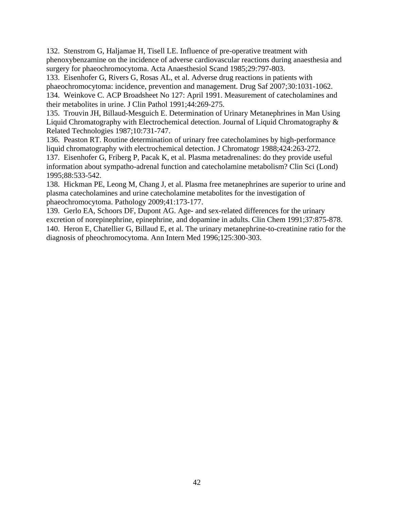132. Stenstrom G, Haljamae H, Tisell LE. Influence of pre-operative treatment with phenoxybenzamine on the incidence of adverse cardiovascular reactions during anaesthesia and surgery for phaeochromocytoma. Acta Anaesthesiol Scand 1985;29:797-803.

133. Eisenhofer G, Rivers G, Rosas AL, et al. Adverse drug reactions in patients with phaeochromocytoma: incidence, prevention and management. Drug Saf 2007;30:1031-1062. 134. Weinkove C. ACP Broadsheet No 127: April 1991. Measurement of catecholamines and

their metabolites in urine. J Clin Pathol 1991;44:269-275.

135. Trouvin JH, Billaud-Mesguich E. Determination of Urinary Metanephrines in Man Using Liquid Chromatography with Electrochemical detection. Journal of Liquid Chromatography & Related Technologies 1987;10:731-747.

136. Peaston RT. Routine determination of urinary free catecholamines by high-performance liquid chromatography with electrochemical detection. J Chromatogr 1988;424:263-272.

137. Eisenhofer G, Friberg P, Pacak K, et al. Plasma metadrenalines: do they provide useful information about sympatho-adrenal function and catecholamine metabolism? Clin Sci (Lond) 1995;88:533-542.

138. Hickman PE, Leong M, Chang J, et al. Plasma free metanephrines are superior to urine and plasma catecholamines and urine catecholamine metabolites for the investigation of phaeochromocytoma. Pathology 2009;41:173-177.

139. Gerlo EA, Schoors DF, Dupont AG. Age- and sex-related differences for the urinary excretion of norepinephrine, epinephrine, and dopamine in adults. Clin Chem 1991;37:875-878. 140. Heron E, Chatellier G, Billaud E, et al. The urinary metanephrine-to-creatinine ratio for the diagnosis of pheochromocytoma. Ann Intern Med 1996;125:300-303.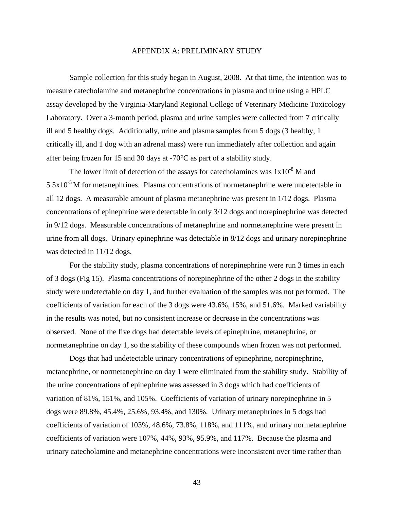### APPENDIX A: PRELIMINARY STUDY

Sample collection for this study began in August, 2008. At that time, the intention was to measure catecholamine and metanephrine concentrations in plasma and urine using a HPLC assay developed by the Virginia-Maryland Regional College of Veterinary Medicine Toxicology Laboratory. Over a 3-month period, plasma and urine samples were collected from 7 critically ill and 5 healthy dogs. Additionally, urine and plasma samples from 5 dogs (3 healthy, 1 critically ill, and 1 dog with an adrenal mass) were run immediately after collection and again after being frozen for 15 and 30 days at  $-70^{\circ}$ C as part of a stability study.

The lower limit of detection of the assays for cate cholamines was  $1x10^{-8}$  M and  $5.5x10<sup>-5</sup>$  M for metanephrines. Plasma concentrations of normetanephrine were undetectable in all 12 dogs. A measurable amount of plasma metanephrine was present in 1/12 dogs. Plasma concentrations of epinephrine were detectable in only 3/12 dogs and norepinephrine was detected in 9/12 dogs. Measurable concentrations of metanephrine and normetanephrine were present in urine from all dogs. Urinary epinephrine was detectable in 8/12 dogs and urinary norepinephrine was detected in  $11/12$  dogs.

For the stability study, plasma concentrations of norepinephrine were run 3 times in each of 3 dogs (Fig 15). Plasma concentrations of norepinephrine of the other 2 dogs in the stability study were undetectable on day 1, and further evaluation of the samples was not performed. The coefficients of variation for each of the 3 dogs were 43.6%, 15%, and 51.6%. Marked variability in the results was noted, but no consistent increase or decrease in the concentrations was observed. None of the five dogs had detectable levels of epinephrine, metanephrine, or normetanephrine on day 1, so the stability of these compounds when frozen was not performed.

Dogs that had undetectable urinary concentrations of epinephrine, norepinephrine, metanephrine, or normetanephrine on day 1 were eliminated from the stability study. Stability of the urine concentrations of epinephrine was assessed in 3 dogs which had coefficients of variation of 81%, 151%, and 105%. Coefficients of variation of urinary norepinephrine in 5 dogs were 89.8%, 45.4%, 25.6%, 93.4%, and 130%. Urinary metanephrines in 5 dogs had coefficients of variation of 103%, 48.6%, 73.8%, 118%, and 111%, and urinary normetanephrine coefficients of variation were 107%, 44%, 93%, 95.9%, and 117%. Because the plasma and urinary catecholamine and metanephrine concentrations were inconsistent over time rather than

43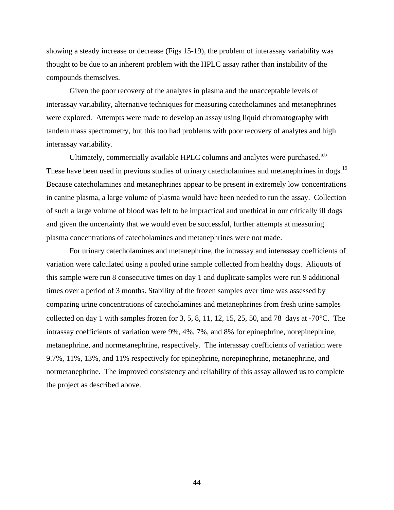showing a steady increase or decrease (Figs 15-19), the problem of interassay variability was thought to be due to an inherent problem with the HPLC assay rather than instability of the compounds themselves.

Given the poor recovery of the analytes in plasma and the unacceptable levels of interassay variability, alternative techniques for measuring catecholamines and metanephrines were explored. Attempts were made to develop an assay using liquid chromatography with tandem mass spectrometry, but this too had problems with poor recovery of analytes and high interassay variability.

Ultimately, commercially available HPLC columns and analytes were purchased. $a$ ,b These have been used in previous studies of urinary cate cholamines and metanephrines in dogs.<sup>19</sup> Because catecholamines and metanephrines appear to be present in extremely low concentrations in canine plasma, a large volume of plasma would have been needed to run the assay. Collection of such a large volume of blood was felt to be impractical and unethical in our critically ill dogs and given the uncertainty that we would even be successful, further attempts at measuring plasma concentrations of catecholamines and metanephrines were not made.

For urinary catecholamines and metanephrine, the intrassay and interassay coefficients of variation were calculated using a pooled urine sample collected from healthy dogs. Aliquots of this sample were run 8 consecutive times on day 1 and duplicate samples were run 9 additional times over a period of 3 months. Stability of the frozen samples over time was assessed by comparing urine concentrations of catecholamines and metanephrines from fresh urine samples collected on day 1 with samples frozen for 3, 5, 8, 11, 12, 15, 25, 50, and 78 days at  $-70^{\circ}$ C. The intrassay coefficients of variation were 9%, 4%, 7%, and 8% for epinephrine, norepinephrine, metanephrine, and normetanephrine, respectively. The interassay coefficients of variation were 9.7%, 11%, 13%, and 11% respectively for epinephrine, norepinephrine, metanephrine, and normetanephrine. The improved consistency and reliability of this assay allowed us to complete the project as described above.

44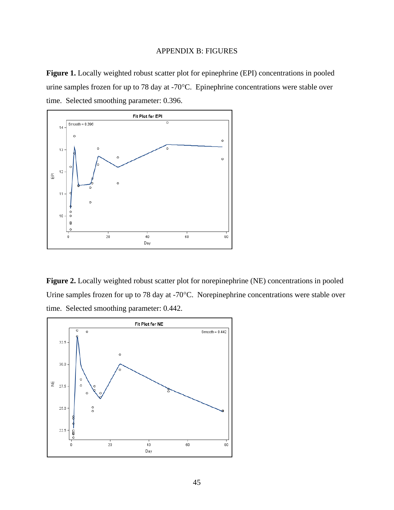## APPENDIX B: FIGURES

**Figure 1.** Locally weighted robust scatter plot for epinephrine (EPI) concentrations in pooled urine samples frozen for up to 78 day at -70°C. Epinephrine concentrations were stable over time. Selected smoothing parameter: 0.396.



Figure 2. Locally weighted robust scatter plot for norepinephrine (NE) concentrations in pooled Urine samples frozen for up to 78 day at -70°C. Norepinephrine concentrations were stable over time. Selected smoothing parameter: 0.442.

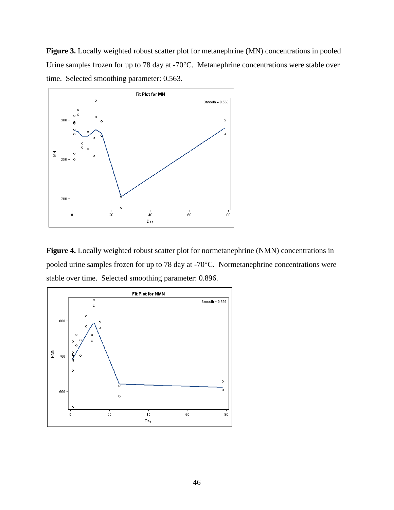**Figure 3.** Locally weighted robust scatter plot for metanephrine (MN) concentrations in pooled Urine samples frozen for up to 78 day at -70°C. Metanephrine concentrations were stable over time. Selected smoothing parameter: 0.563.



**Figure 4.** Locally weighted robust scatter plot for normetanephrine (NMN) concentrations in pooled urine samples frozen for up to 78 day at -70°C. Normetanephrine concentrations were stable over time. Selected smoothing parameter: 0.896.

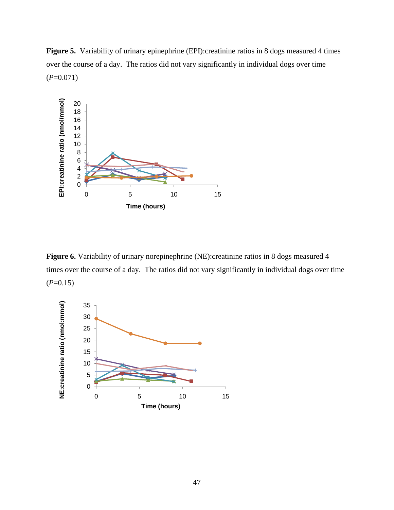Figure 5. Variability of urinary epinephrine (EPI): creatinine ratios in 8 dogs measured 4 times over the course of a day. The ratios did not vary significantly in individual dogs over time  $(P=0.071)$ 



Figure 6. Variability of urinary norepinephrine (NE): creatinine ratios in 8 dogs measured 4 times over the course of a day. The ratios did not vary significantly in individual dogs over time  $(P=0.15)$ 

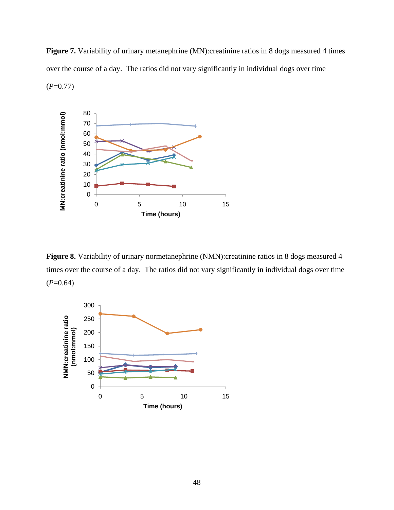Figure 7. Variability of urinary metanephrine (MN):creatinine ratios in 8 dogs measured 4 times over the course of a day. The ratios did not vary significantly in individual dogs over time  $(P=0.77)$ 



Figure 8. Variability of urinary normetanephrine (NMN): creatinine ratios in 8 dogs measured 4 times over the course of a day. The ratios did not vary significantly in individual dogs over time  $(P=0.64)$ 

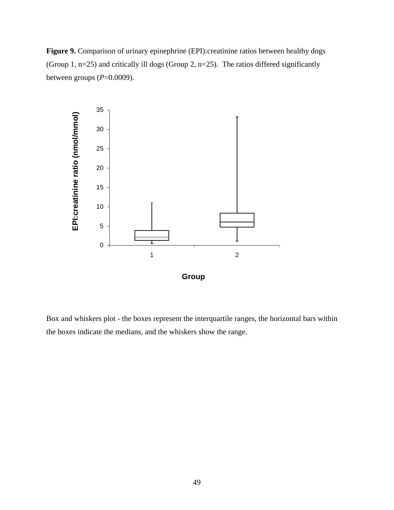**Figure 9.** Comparison of urinary epinephrine (EPI):creatinine ratios between healthy dogs (Group 1,  $n=25$ ) and critically ill dogs (Group 2,  $n=25$ ). The ratios differed significantly between groups (*P*=0.0009).



Box and whiskers plot - the boxes represent the interquartile ranges, the horizontal bars within the boxes indicate the medians, and the whiskers show the range.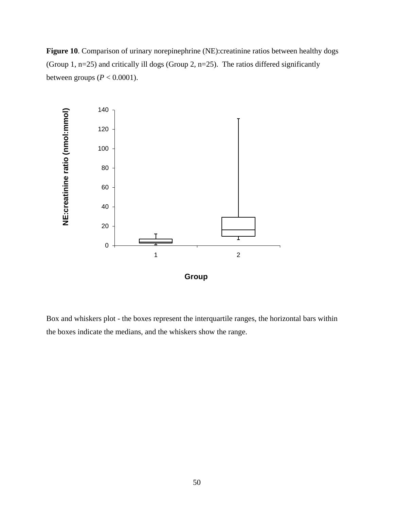Figure 10. Comparison of urinary norepinephrine (NE):creatinine ratios between healthy dogs (Group 1,  $n=25$ ) and critically ill dogs (Group 2,  $n=25$ ). The ratios differed significantly between groups  $(P < 0.0001)$ .



Box and whiskers plot - the boxes represent the interquartile ranges, the horizontal bars within the boxes indicate the medians, and the whiskers show the range.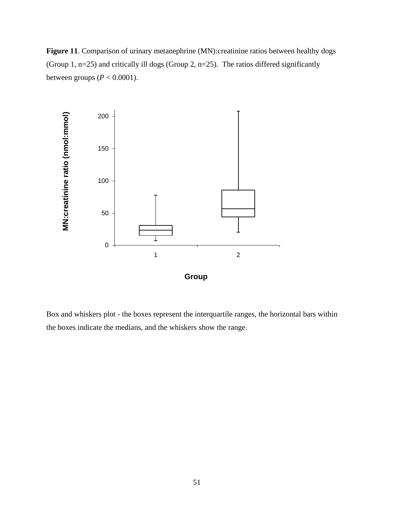**Figure 11**. Comparison of urinary metanephrine (MN):creatinine ratios between healthy dogs (Group 1,  $n=25$ ) and critically ill dogs (Group 2,  $n=25$ ). The ratios differed significantly between groups  $(P < 0.0001)$ .



Box and whiskers plot - the boxes represent the interquartile ranges, the horizontal bars within the boxes indicate the medians, and the whiskers show the range.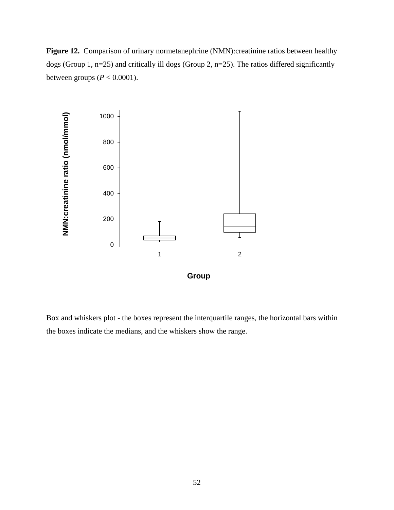**Figure 12.** Comparison of urinary normetanephrine (NMN):creatinine ratios between healthy dogs (Group 1, n=25) and critically ill dogs (Group 2, n=25). The ratios differed significantly between groups  $(P < 0.0001)$ .



Box and whiskers plot - the boxes represent the interquartile ranges, the horizontal bars within the boxes indicate the medians, and the whiskers show the range.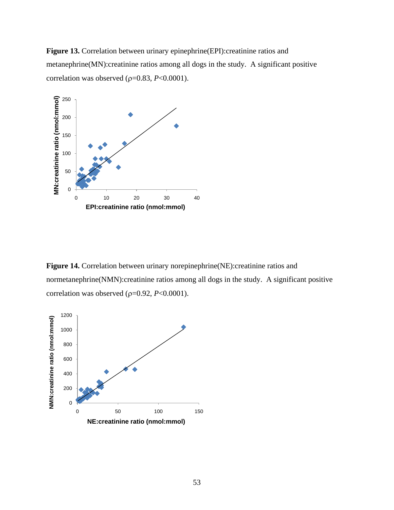Figure 13. Correlation between urinary epinephrine(EPI): creatinine ratios and metanephrine(MN):creatinine ratios among all dogs in the study. A significant positive correlation was observed  $(p=0.83, P<0.0001)$ .



Figure 14. Correlation between urinary norepinephrine(NE):creatinine ratios and normetanephrine(NMN):creatinine ratios among all dogs in the study. A significant positive correlation was observed ( $\rho$ =0.92, *P*<0.0001).

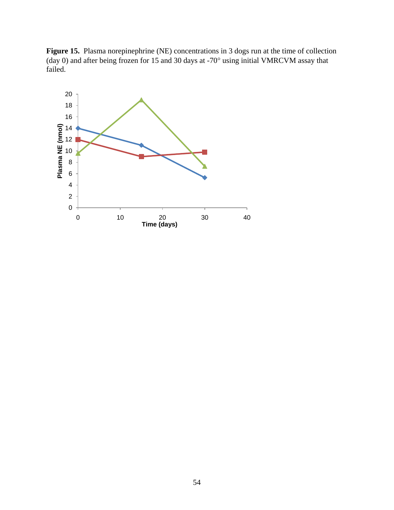**Figure 15.** Plasma norepinephrine (NE) concentrations in 3 dogs run at the time of collection (day 0) and after being frozen for 15 and 30 days at -70 $^{\circ}$  using initial VMRCVM assay that failed.

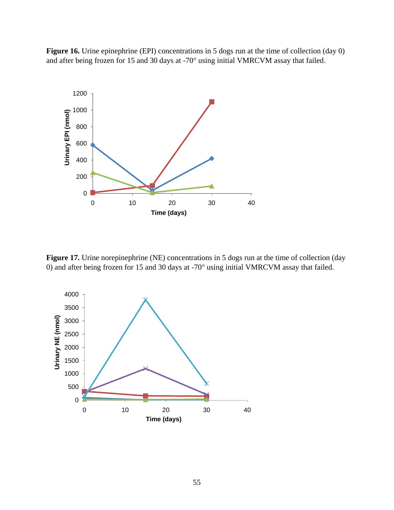Figure 16. Urine epinephrine (EPI) concentrations in 5 dogs run at the time of collection (day 0) and after being frozen for 15 and 30 days at -70° using initial VMRCVM assay that failed.



Figure 17. Urine norepinephrine (NE) concentrations in 5 dogs run at the time of collection (day 0) and after being frozen for 15 and 30 days at -70 $^{\circ}$  using initial VMRCVM assay that failed.

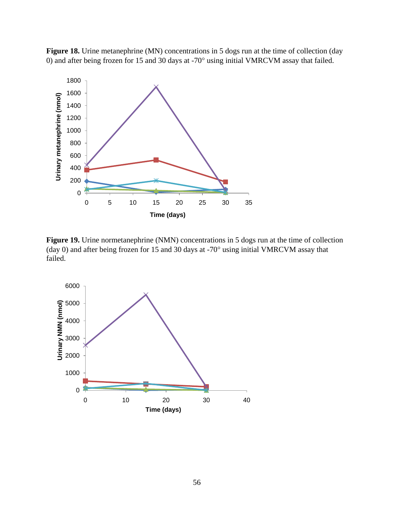



**Figure 19.** Urine normetanephrine (NMN) concentrations in 5 dogs run at the time of collection (day 0) and after being frozen for 15 and 30 days at  $-70^\circ$  using initial VMRCVM assay that failed.

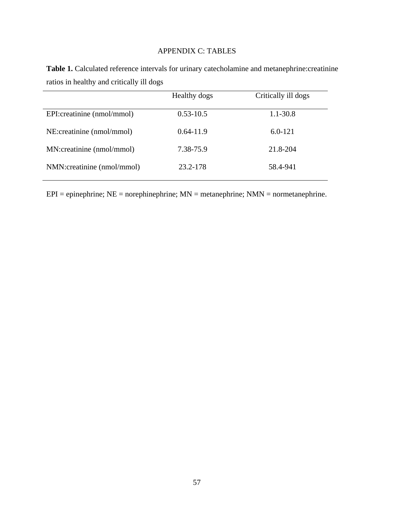# APPENDIX C: TABLES

| ratios in healthy and critically ill dogs |               |                     |
|-------------------------------------------|---------------|---------------------|
|                                           | Healthy dogs  | Critically ill dogs |
| EPI: creatinine (nmol/mmol)               | $0.53 - 10.5$ | 1.1-30.8            |

NE:creatinine (nmol/mmol) 0.64-11.9 6.0-121

MN:creatinine (nmol/mmol) 7.38-75.9 21.8-204

NMN:creatinine (nmol/mmol) 23.2-178 58.4-941

**Table 1.** Calculated reference intervals for urinary catecholamine and metanephrine:creatinine

 $EPI = epinephrine; NE = norephinephrine; MN = metanephrine; NMN = normetanephrine.$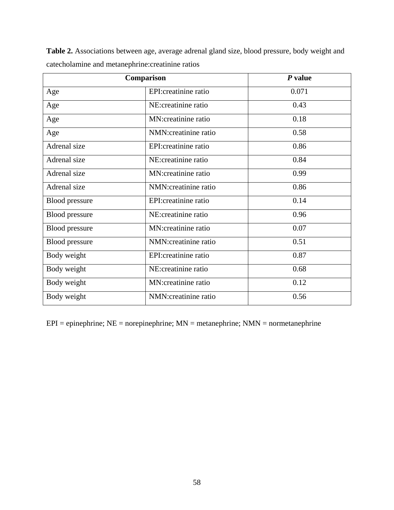| Comparison            | $P$ value             |       |
|-----------------------|-----------------------|-------|
| Age                   | EPI:creatinine ratio  | 0.071 |
| Age                   | NE:creatinine ratio   | 0.43  |
| Age                   | MN:creatinine ratio   | 0.18  |
| Age                   | NMN:creatinine ratio  | 0.58  |
| Adrenal size          | EPI: creatinine ratio | 0.86  |
| Adrenal size          | NE:creatinine ratio   | 0.84  |
| Adrenal size          | MN:creatinine ratio   | 0.99  |
| Adrenal size          | NMN:creatinine ratio  | 0.86  |
| <b>Blood</b> pressure | EPI:creatinine ratio  | 0.14  |
| <b>Blood</b> pressure | NE:creatinine ratio   | 0.96  |
| <b>Blood</b> pressure | MN:creatinine ratio   | 0.07  |
| <b>Blood</b> pressure | NMN:creatinine ratio  | 0.51  |
| Body weight           | EPI:creatinine ratio  | 0.87  |
| Body weight           | NE:creatinine ratio   | 0.68  |
| Body weight           | MN:creatinine ratio   | 0.12  |
| Body weight           | NMN:creatinine ratio  | 0.56  |

**Table 2.** Associations between age, average adrenal gland size, blood pressure, body weight and catecholamine and metanephrine:creatinine ratios

 $EPI = epinephrine; NE = norepinephrine; MN = metanephrine; NMN = normetanephrine$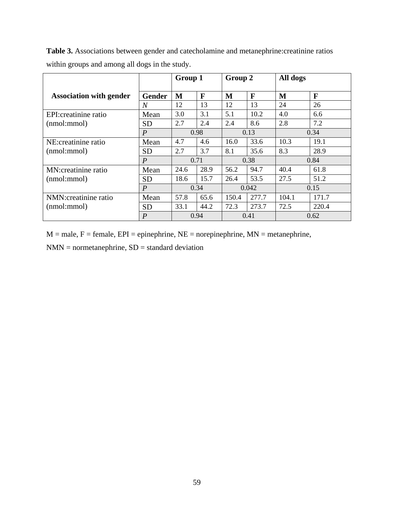|                                      |                  | Group 1 |              | Group 2 |             | All dogs |       |
|--------------------------------------|------------------|---------|--------------|---------|-------------|----------|-------|
| <b>Association with gender</b>       | <b>Gender</b>    | M       | F            | M       | $\mathbf F$ | M        | F     |
|                                      | $\overline{N}$   | 12      | 13           | 12      | 13          | 24       | 26    |
| EPI: creatinine ratio<br>(nmol:mmol) | Mean             | 3.0     | 3.1          | 5.1     | 10.2        | 4.0      | 6.6   |
|                                      | <b>SD</b>        | 2.7     | 2.4          | 2.4     | 8.6         | 2.8      | 7.2   |
|                                      | $\boldsymbol{P}$ | 0.98    |              | 0.13    |             | 0.34     |       |
| NE: creatinine ratio                 | Mean             | 4.7     | 4.6          | 16.0    | 33.6        | 10.3     | 19.1  |
| (nmol:mmol)                          | <b>SD</b>        | 2.7     | 3.7          | 8.1     | 35.6        | 8.3      | 28.9  |
|                                      | $\boldsymbol{P}$ |         | 0.71<br>0.38 |         |             | 0.84     |       |
| MN: creatinine ratio                 | Mean             | 24.6    | 28.9         | 56.2    | 94.7        | 40.4     | 61.8  |
| (nmol:mmol)                          | <b>SD</b>        | 18.6    | 15.7         | 26.4    | 53.5        | 27.5     | 51.2  |
|                                      | $\boldsymbol{P}$ | 0.34    |              | 0.042   |             | 0.15     |       |
| NMN:creatinine ratio<br>(nmol:mmol)  | Mean             | 57.8    | 65.6         | 150.4   | 277.7       | 104.1    | 171.7 |
|                                      | <b>SD</b>        | 33.1    | 44.2         | 72.3    | 273.7       | 72.5     | 220.4 |
|                                      | $\boldsymbol{P}$ | 0.94    |              | 0.41    |             | 0.62     |       |

**Table 3.** Associations between gender and catecholamine and metanephrine:creatinine ratios within groups and among all dogs in the study.

 $M =$  male,  $F =$  female,  $EPI =$  epinephrine,  $NE =$  norepinephrine,  $MN =$  metanephrine,

 $NMN = normetanephrine, SD = standard deviation$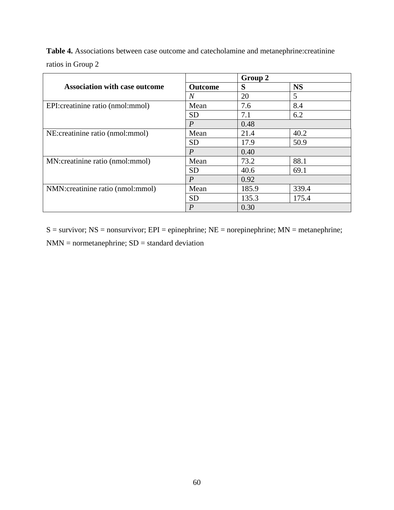**Table 4.** Associations between case outcome and catecholamine and metanephrine:creatinine ratios in Group 2

|                                      |                  | Group 2 |           |
|--------------------------------------|------------------|---------|-----------|
| <b>Association with case outcome</b> | <b>Outcome</b>   | S       | <b>NS</b> |
|                                      | $\overline{N}$   | 20      | 5         |
| EPI:creatinine ratio (nmol:mmol)     | Mean             | 7.6     | 8.4       |
|                                      | <b>SD</b>        | 7.1     | 6.2       |
|                                      | $\boldsymbol{P}$ | 0.48    |           |
| NE:creatinine ratio (nmol:mmol)      | Mean             | 21.4    | 40.2      |
|                                      | <b>SD</b>        | 17.9    | 50.9      |
|                                      | $\boldsymbol{P}$ | 0.40    |           |
| MN: creatinine ratio (nmol: mmol)    | Mean             | 73.2    | 88.1      |
|                                      | <b>SD</b>        | 40.6    | 69.1      |
|                                      | $\boldsymbol{P}$ | 0.92    |           |
| NMN: creatinine ratio (nmol: mmol)   | Mean             | 185.9   | 339.4     |
|                                      | <b>SD</b>        | 135.3   | 175.4     |
|                                      | $\boldsymbol{P}$ | 0.30    |           |

 $S =$  survivor; NS = nonsurvivor; EPI = epinephrine; NE = norepinephrine; MN = metanephrine; NMN = normetanephrine; SD = standard deviation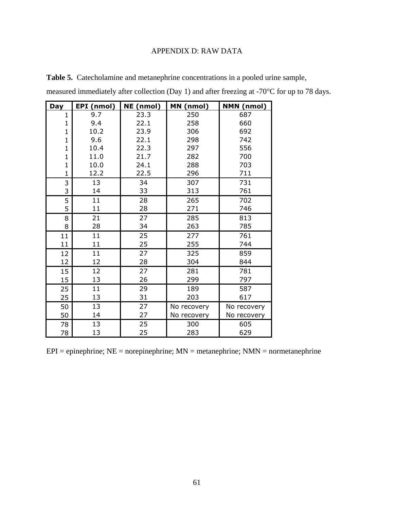# APPENDIX D: RAW DATA

**Table 5.** Catecholamine and metanephrine concentrations in a pooled urine sample,

| <b>Day</b>   | EPI (nmol) | NE (nmol)   | MN (nmol)   | NMN (nmol)  |  |
|--------------|------------|-------------|-------------|-------------|--|
| 1            | 9.7        | 23.3<br>250 |             | 687         |  |
| $\mathbf{1}$ | 9.4        | 258<br>22.1 |             | 660         |  |
| $\mathbf{1}$ | 10.2       | 23.9        | 306         | 692         |  |
| $\mathbf{1}$ | 9.6        | 22.1        | 298<br>742  |             |  |
| $\mathbf{1}$ | 10.4       | 22.3        | 297         | 556         |  |
| $\mathbf{1}$ | 11.0       | 21.7        | 282         | 700         |  |
| $\mathbf{1}$ | 10.0       | 24.1        | 288         | 703         |  |
| $\mathbf{1}$ | 12.2       | 22.5        | 296         | 711         |  |
| 3            | 13         | 34          | 307         | 731         |  |
| 3            | 14         | 33          | 313         | 761         |  |
| 5            | 11         | 28          | 265         | 702         |  |
| 5            | 11         | 28          | 271         | 746         |  |
| 8            | 21         | 27          | 285         | 813         |  |
| 8            | 28         | 34          | 263         | 785         |  |
| 11           | 11         | 25          | 277         | 761         |  |
| 11           | 11         | 25          | 255         | 744         |  |
| 12           | 11         | 27          | 325         | 859         |  |
| 12           | 12         | 28          | 304         | 844         |  |
| 15           | 12         | 27          | 281         | 781         |  |
| 15           | 13         | 26          | 299         | 797         |  |
| 25           | 11         | 29          | 189         | 587         |  |
| 25           | 13         | 31          | 203         | 617         |  |
| 50           | 13         | 27          | No recovery | No recovery |  |
| 50           | 14         | 27          | No recovery | No recovery |  |
| 78           | 13         | 25          | 300         | 605         |  |
| 78           | 13         | 25          | 283         | 629         |  |

measured immediately after collection (Day 1) and after freezing at -70°C for up to 78 days.

 $EPI = epinephrine; NE = norepinephrine; MN = metanephrine; NMN = normetanephrine$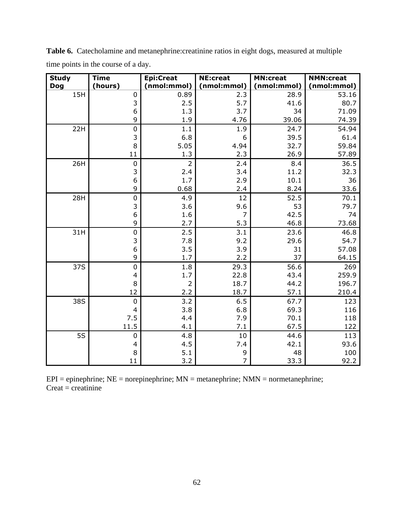**Table 6.** Catecholamine and metanephrine:creatinine ratios in eight dogs, measured at multiple time points in the course of a day.

| <b>Study</b> | <b>Time</b> | <b>Epi:Creat</b> | <b>NE:creat</b> | <b>MN:creat</b> | <b>NMN:creat</b> |
|--------------|-------------|------------------|-----------------|-----------------|------------------|
| <b>Dog</b>   | (hours)     | (nmol:mmol)      | (nmol:mmol)     | (nmol:mmol)     | (nmol:mmol)      |
| 15H          | 0           | 0.89             | 2.3             | 28.9            | 53.16            |
|              | 3           | 2.5              | 5.7             | 41.6            | 80.7             |
|              | 6           | 1.3              | 3.7             | 34              | 71.09            |
|              | 9           | 1.9              | 4.76            | 39.06           | 74.39            |
| 22H          | $\mathbf 0$ | 1.1              | 1.9             | 24.7            | 54.94            |
|              | 3           | 6.8              | 6               | 39.5            | 61.4             |
|              | 8           | 5.05             | 4.94            | 32.7            | 59.84            |
|              | 11          | 1.3              | 2.3             | 26.9            | 57.89            |
| 26H          | $\pmb{0}$   | $\overline{2}$   | 2.4             | 8.4             | 36.5             |
|              | 3           | 2.4              | 3.4             | 11.2            | 32.3             |
|              | 6           | 1.7              | 2.9             | 10.1            | 36               |
|              | 9           | 0.68             | 2.4             | 8.24            | 33.6             |
| 28H          | $\mathbf 0$ | 4.9              | 12              | 52.5            | 70.1             |
|              | 3           | 3.6              | 9.6             | 53              | 79.7             |
|              | 6           | 1.6              | $\overline{7}$  | 42.5            | 74               |
|              | 9           | 2.7              | 5.3             | 46.8            | 73.68            |
| 31H          | 0           | 2.5              | 3.1             | 23.6            | 46.8             |
|              | 3           | 7.8              | 9.2             | 29.6            | 54.7             |
|              | 6           | 3.5              | 3.9             | 31              | 57.08            |
|              | 9           | 1.7              | 2.2             | 37              | 64.15            |
| 37S          | $\mathbf 0$ | 1.8              | 29.3            | 56.6            | 269              |
|              | 4           | 1.7              | 22.8            | 43.4            | 259.9            |
|              | 8           | $\overline{2}$   | 18.7            | 44.2            | 196.7            |
|              | 12          | 2.2              | 18.7            | 57.1            | 210.4            |
| 38S          | $\mathbf 0$ | 3.2              | 6.5             | 67.7            | 123              |
|              | 4           | 3.8              | 6.8             | 69.3            | 116              |
|              | 7.5         | 4.4              | 7.9             | 70.1            | 118              |
|              | 11.5        | 4.1              | 7.1             | 67.5            | 122              |
| <b>5S</b>    | 0           | 4.8              | 10              | 44.6            | 113              |
|              | 4           | 4.5              | 7.4             | 42.1            | 93.6             |
|              | 8           | 5.1              | 9               | 48              | 100              |
|              | 11          | 3.2              | $\overline{z}$  | 33.3            | 92.2             |

 $EPI = epinephrine; NE = norepinephrine; MN = metanephrine; NMN = normetanephrine;$  $Create = creationine$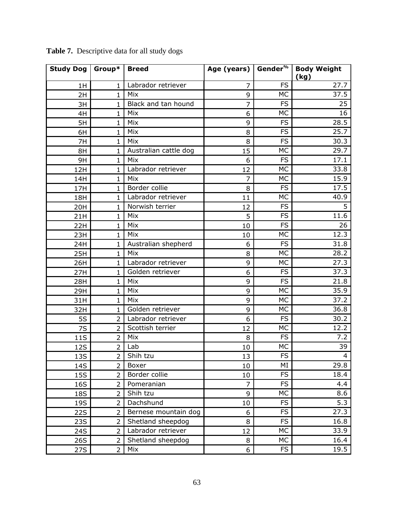| <b>Study Dog</b> | Group*         | <b>Breed</b>          | Age (years) | Gender <sup>%</sup> | <b>Body Weight</b><br>(kg) |
|------------------|----------------|-----------------------|-------------|---------------------|----------------------------|
| 1H               | 1              | Labrador retriever    | 7           | <b>FS</b>           | 27.7                       |
| 2H               | 1              | Mix                   | 9           | <b>MC</b>           | 37.5                       |
| 3H               | 1              | Black and tan hound   | 7           | <b>FS</b>           | 25                         |
| 4H               | 1              | Mix                   | 6           | <b>MC</b>           | 16                         |
| 5H               | 1              | Mix                   | 9           | <b>FS</b>           | 28.5                       |
| 6H               | 1              | Mix                   | 8           | <b>FS</b>           | 25.7                       |
| 7H               | 1              | Mix                   | 8           | <b>FS</b>           | 30.3                       |
| 8H               | 1              | Australian cattle dog | 15          | <b>MC</b>           | 29.7                       |
| 9H               | 1              | Mix                   | 6           | <b>FS</b>           | 17.1                       |
| 12H              | 1              | Labrador retriever    | 12          | <b>MC</b>           | 33.8                       |
| 14H              | 1              | Mix                   | 7           | <b>MC</b>           | 15.9                       |
| 17H              | 1              | Border collie         | 8           | <b>FS</b>           | 17.5                       |
| 18H              | 1              | Labrador retriever    | 11          | <b>MC</b>           | 40.9                       |
| 20H              | 1              | Norwish terrier       | 12          | <b>FS</b>           | 5                          |
| 21H              | 1              | Mix                   | 5           | <b>FS</b>           | 11.6                       |
| 22H              | 1              | Mix                   | 10          | <b>FS</b>           | 26                         |
| 23H              | 1              | Mix                   | 10          | <b>MC</b>           | 12.3                       |
| 24H              | 1              | Australian shepherd   | 6           | <b>FS</b>           | 31.8                       |
| 25H              | 1              | Mix                   | 8           | <b>MC</b>           | 28.2                       |
| 26H              | 1              | Labrador retriever    | 9           | <b>MC</b>           | 27.3                       |
| 27H              | 1              | Golden retriever      | 6           | <b>FS</b>           | 37.3                       |
| 28H              | 1              | Mix                   | 9           | <b>FS</b>           | 21.8                       |
| 29H              | 1              | Mix                   | 9           | <b>MC</b>           | 35.9                       |
| 31H              | 1              | Mix                   | 9           | <b>MC</b>           | 37.2                       |
| 32H              | 1              | Golden retriever      | 9           | <b>MC</b>           | 36.8                       |
| 5S               | 2              | Labrador retriever    | 6           | <b>FS</b>           | 30.2                       |
| 7S               | 2              | Scottish terrier      | 12          | <b>MC</b>           | 12.2                       |
| 11S              | 2              | Mix                   | 8           | <b>FS</b>           | 7.2                        |
| 12S              | $\overline{2}$ | Lab                   | 10          | <b>MC</b>           | 39                         |
| <b>13S</b>       | 2              | Shih tzu              | 13          | <b>FS</b>           | 4                          |
| 14S              | $\overline{2}$ | Boxer                 | 10          | ΜI                  | 29.8                       |
| <b>15S</b>       | $\overline{2}$ | Border collie         | 10          | <b>FS</b>           | 18.4                       |
| <b>16S</b>       | $\overline{2}$ | Pomeranian            | 7           | <b>FS</b>           | 4.4                        |
| <b>18S</b>       | 2              | Shih tzu              | 9           | <b>MC</b>           | 8.6                        |
| 19S              | $\overline{2}$ | Dachshund             | 10          | <b>FS</b>           | $\overline{5.3}$           |
| <b>22S</b>       | $\overline{2}$ | Bernese mountain dog  | 6           | <b>FS</b>           | 27.3                       |
| <b>23S</b>       | $\overline{2}$ | Shetland sheepdog     | 8           | <b>FS</b>           | 16.8                       |
| 24S              | $\overline{2}$ | Labrador retriever    | 12          | <b>MC</b>           | 33.9                       |
| 26S              | $\overline{2}$ | Shetland sheepdog     | 8           | <b>MC</b>           | 16.4                       |
| 27S              | $\overline{2}$ | Mix                   | 6           | <b>FS</b>           | 19.5                       |

**Table 7.** Descriptive data for all study dogs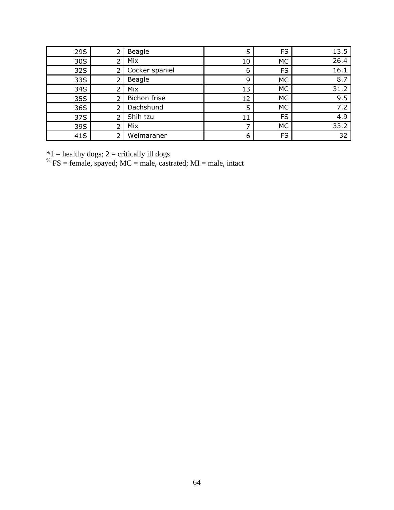| 29S | Beagle         | 5  | <b>FS</b> | 13.5 |
|-----|----------------|----|-----------|------|
| 30S | Mix            | 10 | MC        | 26.4 |
| 32S | Cocker spaniel | 6  | <b>FS</b> | 16.1 |
| 33S | Beagle         | 9  | MC        | 8.7  |
| 34S | Mix            | 13 | <b>MC</b> | 31.2 |
| 35S | Bichon frise   | 12 | <b>MC</b> | 9.5  |
| 36S | Dachshund      | 5  | <b>MC</b> | 7.2  |
| 37S | Shih tzu       | 11 | <b>FS</b> | 4.9  |
| 39S | Mix            | ⇁  | <b>MC</b> | 33.2 |
| 41S | Weimaraner     | 6  | <b>FS</b> | 32   |

 $*1$  = healthy dogs; 2 = critically ill dogs<br> $*5$  FS = female, spayed; MC = male, castrated; MI = male, intact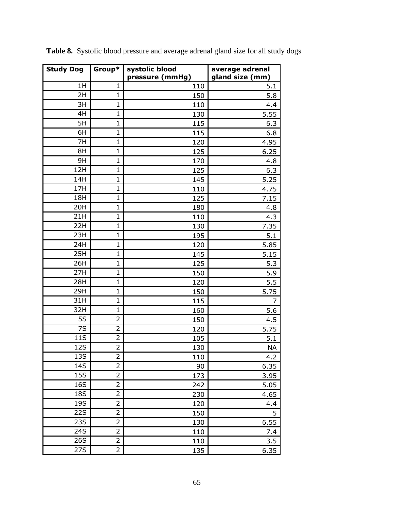| <b>Study Dog</b> | Group*         | systolic blood  | average adrenal |
|------------------|----------------|-----------------|-----------------|
|                  |                | pressure (mmHg) | gland size (mm) |
| 1H               | 1              | 110             | 5.1             |
| 2H               | 1              | 150             | 5.8             |
| 3H               | 1              | 110             | 4.4             |
| 4H               | $\mathbf{1}$   | 130             | 5.55            |
| 5H               | 1              | 115             | 6.3             |
| 6H               | $\mathbf{1}$   | 115             | 6.8             |
| 7H               | 1              | 120             | 4.95            |
| 8H               | $\mathbf 1$    | 125             | 6.25            |
| 9H               | 1              | 170             | 4.8             |
| 12H              | $\mathbf 1$    | 125             | 6.3             |
| 14H              | $\mathbf 1$    | 145             | 5.25            |
| 17H              | 1              | 110             | 4.75            |
| 18H              | $\mathbf{1}$   | 125             | 7.15            |
| 20H              | 1              | 180             | 4.8             |
| 21H              | 1              | 110             | 4.3             |
| 22H              | $\mathbf 1$    | 130             | 7.35            |
| 23H              | 1              | 195             | 5.1             |
| 24H              | $\mathbf{1}$   | 120             | 5.85            |
| 25H              | $\mathbf{1}$   | 145             | 5.15            |
| 26H              | $\mathbf 1$    | 125             | 5.3             |
| 27H              | 1              | 150             | 5.9             |
| 28H              | $\mathbf 1$    | 120             | 5.5             |
| 29H              | $\mathbf 1$    | 150             | 5.75            |
| 31H              | 1              | 115             | 7               |
| 32H              | $\mathbf{1}$   | 160             | 5.6             |
| <b>5S</b>        | 2              | 150             | 4.5             |
| 7S               | $\overline{2}$ | 120             | 5.75            |
| 11S              | $\overline{c}$ | 105             | 5.1             |
| 12S              | $\overline{2}$ | 130             | <b>NA</b>       |
| 13S              | $\overline{2}$ | 110             | 4.2             |
| 14S              | $\overline{2}$ | 90              | 6.35            |
| <b>15S</b>       | $\overline{2}$ | 173             | 3.95            |
| 16S              | $\overline{2}$ | 242             | 5.05            |
| 18S              | $\overline{2}$ | 230             | 4.65            |
| 19S              | $\overline{2}$ | 120             | 4.4             |
| <b>22S</b>       | 2              | 150             | 5               |
| <b>23S</b>       | $\overline{2}$ | 130             | 6.55            |
| 24S              | $\overline{2}$ | 110             | 7.4             |
| 26S              | $\overline{2}$ | 110             | 3.5             |
| 27S              | $\overline{2}$ | 135             | 6.35            |

**Table 8.** Systolic blood pressure and average adrenal gland size for all study dogs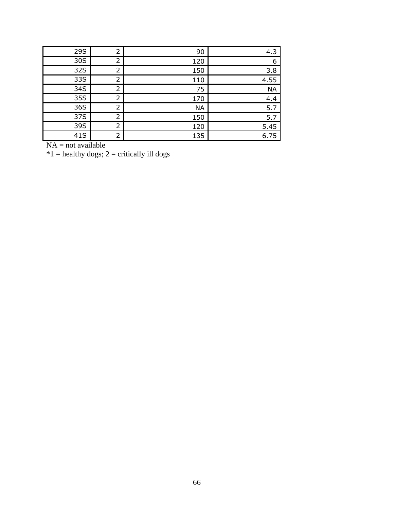| <b>29S</b> | 2 | 90        | 4.3       |
|------------|---|-----------|-----------|
| 30S        | 2 | 120       | 6         |
| 32S        | 2 | 150       | 3.8       |
| 33S        | 2 | 110       | 4.55      |
| 34S        | 2 | 75        | <b>NA</b> |
| 35S        | 2 | 170       | 4.4       |
| 36S        | 2 | <b>NA</b> | 5.7       |
| 37S        | 2 | 150       | 5.7       |
| 39S        | 2 | 120       | 5.45      |
| 41S        | 2 | 135       | 6.75      |

 $NA = not available$ 

 $*1$  = healthy dogs; 2 = critically ill dogs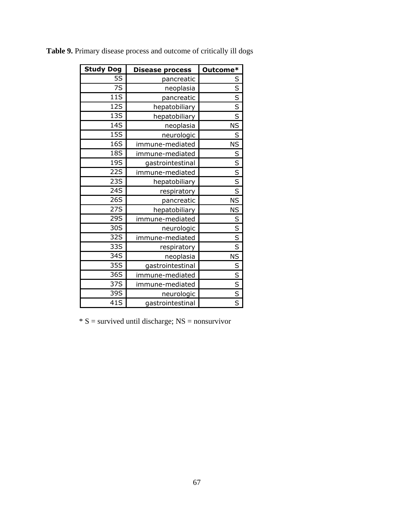| <b>Study Dog</b> | <b>Disease process</b> | Outcome*                |
|------------------|------------------------|-------------------------|
| <b>5S</b>        | pancreatic             | S                       |
| 7S               | neoplasia              | $\overline{\mathsf{s}}$ |
| 11S              | pancreatic             | $\overline{\mathsf{s}}$ |
| 12S              | hepatobiliary          | $\overline{s}$          |
| 13S              | hepatobiliary          | $\overline{\mathsf{s}}$ |
| 14S              | neoplasia              | <b>NS</b>               |
| <b>15S</b>       | neurologic             | S                       |
| <b>16S</b>       | immune-mediated        | <b>NS</b>               |
| <b>18S</b>       | immune-mediated        | S                       |
| <b>19S</b>       | gastrointestinal       | $\overline{\mathsf{s}}$ |
| <b>22S</b>       | immune-mediated        | $\overline{\mathsf{s}}$ |
| <b>23S</b>       | hepatobiliary          | $\overline{\mathsf{s}}$ |
| 24S              | respiratory            | S                       |
| <b>26S</b>       | pancreatic             | <b>NS</b>               |
| 27S              | hepatobiliary          | <b>NS</b>               |
| <b>29S</b>       | immune-mediated        | S                       |
| 30S              | neurologic             | S                       |
| 32S              | immune-mediated        | $\overline{\mathsf{s}}$ |
| 33S              | respiratory            | $\overline{s}$          |
| 34S              | neoplasia              | <b>NS</b>               |
| 35S              | gastrointestinal       | $\overline{\mathsf{S}}$ |
| 36S              | immune-mediated        | $\overline{\mathsf{S}}$ |
| 37S              | immune-mediated        | $\overline{\mathsf{S}}$ |
| 39S              | neurologic             | $\overline{\mathsf{S}}$ |
| 41S              | gastrointestinal       | $\overline{\mathsf{s}}$ |

**Table 9.** Primary disease process and outcome of critically ill dogs

 $* S =$  survived until discharge; NS = nonsurvivor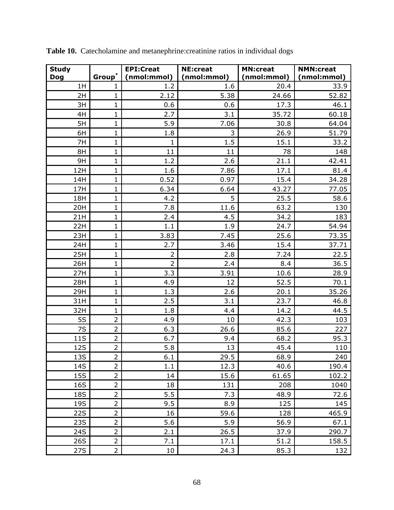| <b>Study</b> |                    | <b>EPI:Creat</b> | <b>NE:creat</b> | <b>MN:creat</b> | <b>NMN:creat</b> |
|--------------|--------------------|------------------|-----------------|-----------------|------------------|
| <b>Dog</b>   | Group <sup>*</sup> | (nmol:mmol)      | (nmol:mmol)     | (nmol:mmol)     | (nmol:mmol)      |
| 1H           | 1                  | 1.2              | 1.6             | 20.4            | 33.9             |
| 2H           | $\mathbf{1}$       | 2.12             | 5.38            | 24.66           | 52.82            |
| 3H           | $\mathbf{1}$       | 0.6              | 0.6             | 17.3            | 46.1             |
| 4H           | 1                  | 2.7              | 3.1             | 35.72           | 60.18            |
| 5H           | 1                  | 5.9              | 7.06            | 30.8            | 64.04            |
| 6H           | $\mathbf{1}$       | 1.8              | 3               | 26.9            | 51.79            |
| 7H           | $\mathbf{1}$       | 1                | 1.5             | 15.1            | 33.2             |
| 8H           | 1                  | 11               | 11              | 78              | 148              |
| 9H           | 1                  | 1.2              | 2.6             | 21.1            | 42.41            |
| 12H          | 1                  | 1.6              | 7.86            | 17.1            | 81.4             |
| 14H          | $\mathbf{1}$       | 0.52             | 0.97            | 15.4            | 34.28            |
| 17H          | $\mathbf{1}$       | 6.34             | 6.64            | 43.27           | 77.05            |
| 18H          | 1                  | 4.2              | 5               | 25.5            | 58.6             |
| 20H          | 1                  | 7.8              | 11.6            | 63.2            | 130              |
| 21H          | $\mathbf{1}$       | 2.4              | 4.5             | 34.2            | 183              |
| 22H          | 1                  | 1.1              | 1.9             | 24.7            | 54.94            |
| 23H          | $\mathbf{1}$       | 3.83             | 7.45            | 25.6            | 73.35            |
| 24H          | $\mathbf{1}$       | 2.7              | 3.46            | 15.4            | 37.71            |
| 25H          | $\mathbf{1}$       | $\overline{2}$   | 2.8             | 7.24            | 22.5             |
| 26H          | $\mathbf{1}$       | $\overline{2}$   | 2.4             | 8.4             | 36.5             |
| 27H          | $\mathbf{1}$       | 3.3              | 3.91            | 10.6            | 28.9             |
| 28H          | 1                  | 4.9              | 12              | 52.5            | 70.1             |
| 29H          | $\mathbf{1}$       | 1.3              | 2.6             | 20.1            | 35.26            |
| 31H          | $\mathbf{1}$       | 2.5              | 3.1             | 23.7            | 46.8             |
| 32H          | $\mathbf{1}$       | 1.8              | 4.4             | 14.2            | 44.5             |
| 5S           | $\overline{2}$     | 4.9              | 10              | 42.3            | 103              |
| 7S           | $\overline{2}$     | 6.3              | 26.6            | 85.6            | 227              |
| 11S          | $\overline{2}$     | 6.7              | 9.4             | 68.2            | 95.3             |
| 12S          | $\overline{2}$     | 5.8              | 13              | 45.4            | 110              |
| <b>13S</b>   | $\overline{2}$     | 6.1              | 29.5            | 68.9            | 240              |
| 14S          | $\overline{2}$     | 1.1              | 12.3            | 40.6            | 190.4            |
| 15S          | $\overline{2}$     | 14               | 15.6            | 61.65           | 102.2            |
| 16S          | $\overline{2}$     | 18               | 131             | 208             | 1040             |
| <b>18S</b>   | $\overline{2}$     | 5.5              | 7.3             | 48.9            | 72.6             |
| 19S          | $\overline{2}$     | 9.5              | 8.9             | 125             | 145              |
| <b>22S</b>   | $\overline{2}$     | 16               | 59.6            | 128             | 465.9            |
| <b>23S</b>   | $\overline{2}$     | 5.6              | 5.9             | 56.9            | 67.1             |
| 24S          | $\overline{2}$     | 2.1              | 26.5            | 37.9            | 290.7            |
| 26S          | $\overline{2}$     | 7.1              | 17.1            | 51.2            | 158.5            |
| 27S          | $\overline{2}$     | 10               | 24.3            | 85.3            | 132              |

**Table 10.** Catecholamine and metanephrine:creatinine ratios in individual dogs